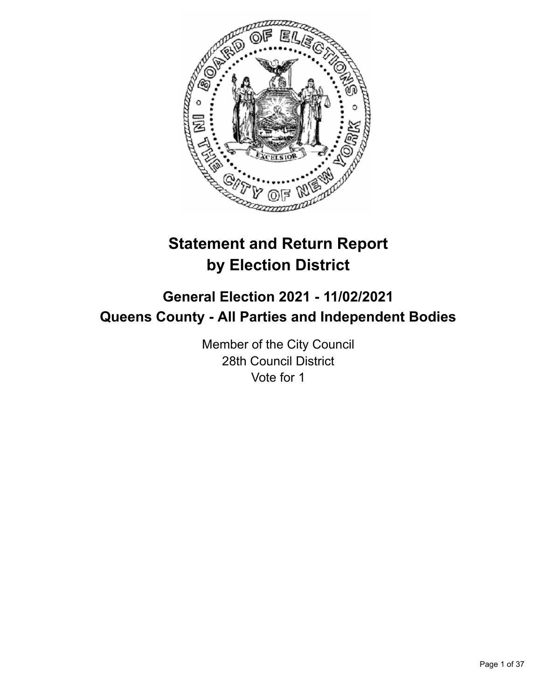

# **Statement and Return Report by Election District**

# **General Election 2021 - 11/02/2021 Queens County - All Parties and Independent Bodies**

Member of the City Council 28th Council District Vote for 1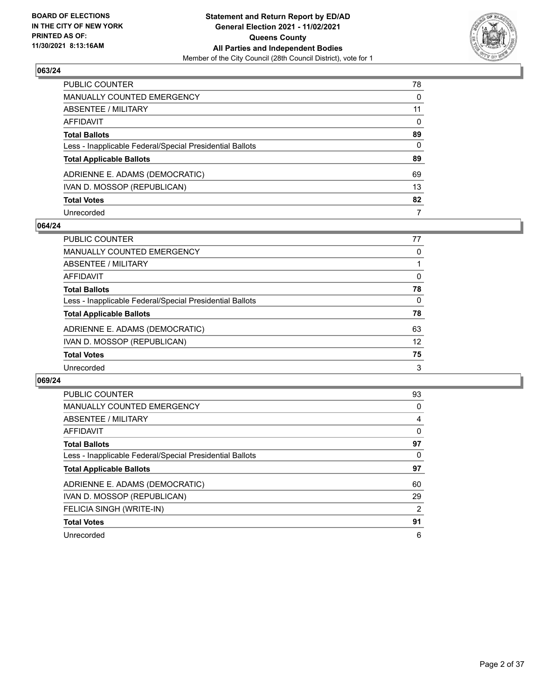

| PUBLIC COUNTER                                           | 78           |
|----------------------------------------------------------|--------------|
| <b>MANUALLY COUNTED EMERGENCY</b>                        | $\Omega$     |
| ABSENTEE / MILITARY                                      | 11           |
| <b>AFFIDAVIT</b>                                         | $\mathbf{0}$ |
| <b>Total Ballots</b>                                     | 89           |
| Less - Inapplicable Federal/Special Presidential Ballots | 0            |
| <b>Total Applicable Ballots</b>                          | 89           |
| ADRIENNE E. ADAMS (DEMOCRATIC)                           | 69           |
| IVAN D. MOSSOP (REPUBLICAN)                              | 13           |
| <b>Total Votes</b>                                       | 82           |
| Unrecorded                                               | 7            |

## **064/24**

| <b>PUBLIC COUNTER</b>                                    | 77       |
|----------------------------------------------------------|----------|
| MANUALLY COUNTED EMERGENCY                               | 0        |
| ABSENTEE / MILITARY                                      |          |
| AFFIDAVIT                                                | $\Omega$ |
| <b>Total Ballots</b>                                     | 78       |
| Less - Inapplicable Federal/Special Presidential Ballots | $\Omega$ |
| <b>Total Applicable Ballots</b>                          | 78       |
| ADRIENNE E. ADAMS (DEMOCRATIC)                           | 63       |
| IVAN D. MOSSOP (REPUBLICAN)                              | 12       |
| <b>Total Votes</b>                                       | 75       |
| Unrecorded                                               | 3        |

| <b>PUBLIC COUNTER</b>                                    | 93 |
|----------------------------------------------------------|----|
| <b>MANUALLY COUNTED EMERGENCY</b>                        | 0  |
| ABSENTEE / MILITARY                                      | 4  |
| AFFIDAVIT                                                | 0  |
| <b>Total Ballots</b>                                     | 97 |
| Less - Inapplicable Federal/Special Presidential Ballots | 0  |
| <b>Total Applicable Ballots</b>                          | 97 |
| ADRIENNE E. ADAMS (DEMOCRATIC)                           | 60 |
| IVAN D. MOSSOP (REPUBLICAN)                              | 29 |
| FELICIA SINGH (WRITE-IN)                                 | 2  |
| <b>Total Votes</b>                                       | 91 |
| Unrecorded                                               | 6  |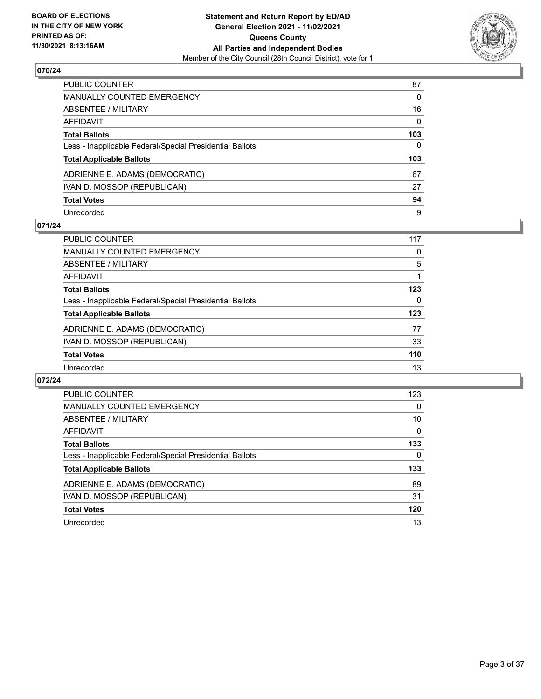

| PUBLIC COUNTER                                           | 87           |
|----------------------------------------------------------|--------------|
| <b>MANUALLY COUNTED EMERGENCY</b>                        | $\Omega$     |
| <b>ABSENTEE / MILITARY</b>                               | 16           |
| <b>AFFIDAVIT</b>                                         | $\mathbf{0}$ |
| <b>Total Ballots</b>                                     | 103          |
| Less - Inapplicable Federal/Special Presidential Ballots | 0            |
| <b>Total Applicable Ballots</b>                          | 103          |
| ADRIENNE E. ADAMS (DEMOCRATIC)                           | 67           |
| IVAN D. MOSSOP (REPUBLICAN)                              | 27           |
| <b>Total Votes</b>                                       | 94           |
| Unrecorded                                               | 9            |

## **071/24**

| PUBLIC COUNTER                                           | 117 |
|----------------------------------------------------------|-----|
| MANUALLY COUNTED EMERGENCY                               | 0   |
| ABSENTEE / MILITARY                                      | 5   |
| AFFIDAVIT                                                |     |
| <b>Total Ballots</b>                                     | 123 |
| Less - Inapplicable Federal/Special Presidential Ballots | 0   |
| <b>Total Applicable Ballots</b>                          | 123 |
| ADRIENNE E. ADAMS (DEMOCRATIC)                           | 77  |
| IVAN D. MOSSOP (REPUBLICAN)                              | 33  |
| <b>Total Votes</b>                                       | 110 |
| Unrecorded                                               | 13  |

| <b>PUBLIC COUNTER</b>                                    | 123      |
|----------------------------------------------------------|----------|
| <b>MANUALLY COUNTED EMERGENCY</b>                        | $\Omega$ |
| ABSENTEE / MILITARY                                      | 10       |
| AFFIDAVIT                                                | $\Omega$ |
| <b>Total Ballots</b>                                     | 133      |
| Less - Inapplicable Federal/Special Presidential Ballots | 0        |
| <b>Total Applicable Ballots</b>                          | 133      |
| ADRIENNE E. ADAMS (DEMOCRATIC)                           | 89       |
| IVAN D. MOSSOP (REPUBLICAN)                              | 31       |
| <b>Total Votes</b>                                       | 120      |
| Unrecorded                                               | 13       |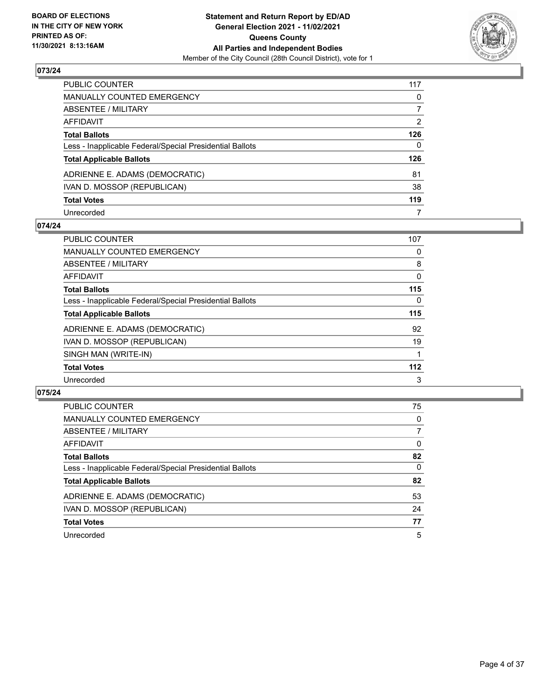

| PUBLIC COUNTER                                           | 117          |
|----------------------------------------------------------|--------------|
| <b>MANUALLY COUNTED EMERGENCY</b>                        | 0            |
| <b>ABSENTEE / MILITARY</b>                               | 7            |
| AFFIDAVIT                                                | 2            |
| <b>Total Ballots</b>                                     | 126          |
| Less - Inapplicable Federal/Special Presidential Ballots | $\mathbf{0}$ |
| <b>Total Applicable Ballots</b>                          | 126          |
| ADRIENNE E. ADAMS (DEMOCRATIC)                           | 81           |
| IVAN D. MOSSOP (REPUBLICAN)                              | 38           |
| <b>Total Votes</b>                                       | 119          |
| Unrecorded                                               | 7            |

## **074/24**

| <b>PUBLIC COUNTER</b>                                    | 107      |
|----------------------------------------------------------|----------|
| <b>MANUALLY COUNTED EMERGENCY</b>                        | 0        |
| ABSENTEE / MILITARY                                      | 8        |
| <b>AFFIDAVIT</b>                                         | 0        |
| <b>Total Ballots</b>                                     | 115      |
| Less - Inapplicable Federal/Special Presidential Ballots | $\Omega$ |
| <b>Total Applicable Ballots</b>                          | 115      |
| ADRIENNE E. ADAMS (DEMOCRATIC)                           | 92       |
| IVAN D. MOSSOP (REPUBLICAN)                              | 19       |
| SINGH MAN (WRITE-IN)                                     |          |
| <b>Total Votes</b>                                       | 112      |
| Unrecorded                                               | 3        |

| <b>PUBLIC COUNTER</b>                                    | 75 |
|----------------------------------------------------------|----|
| MANUALLY COUNTED EMERGENCY                               | 0  |
| ABSENTEE / MILITARY                                      | 7  |
| AFFIDAVIT                                                | 0  |
| <b>Total Ballots</b>                                     | 82 |
| Less - Inapplicable Federal/Special Presidential Ballots | 0  |
| <b>Total Applicable Ballots</b>                          | 82 |
| ADRIENNE E. ADAMS (DEMOCRATIC)                           | 53 |
| IVAN D. MOSSOP (REPUBLICAN)                              | 24 |
| <b>Total Votes</b>                                       | 77 |
| Unrecorded                                               | 5  |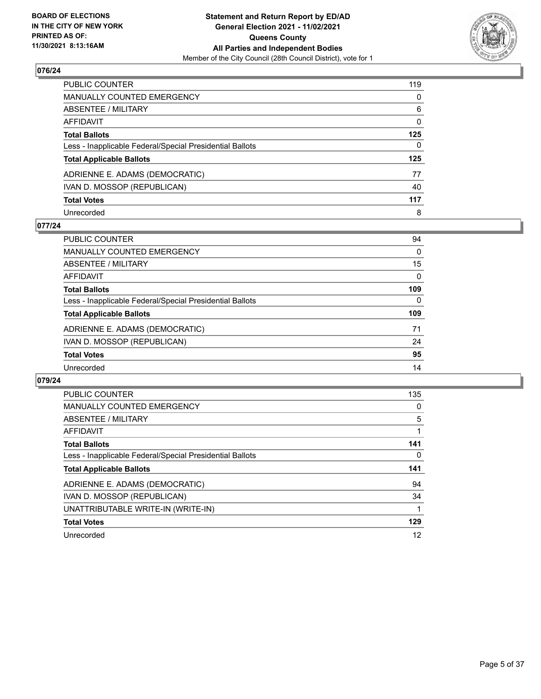

| PUBLIC COUNTER                                           | 119      |
|----------------------------------------------------------|----------|
| <b>MANUALLY COUNTED EMERGENCY</b>                        | $\Omega$ |
| <b>ABSENTEE / MILITARY</b>                               | 6        |
| <b>AFFIDAVIT</b>                                         | 0        |
| <b>Total Ballots</b>                                     | 125      |
| Less - Inapplicable Federal/Special Presidential Ballots | 0        |
| <b>Total Applicable Ballots</b>                          | 125      |
| ADRIENNE E. ADAMS (DEMOCRATIC)                           | 77       |
| IVAN D. MOSSOP (REPUBLICAN)                              | 40       |
| <b>Total Votes</b>                                       | 117      |
| Unrecorded                                               | 8        |

## **077/24**

| PUBLIC COUNTER                                           | 94       |
|----------------------------------------------------------|----------|
| MANUALLY COUNTED EMERGENCY                               | $\Omega$ |
| ABSENTEE / MILITARY                                      | 15       |
| AFFIDAVIT                                                | $\Omega$ |
| <b>Total Ballots</b>                                     | 109      |
| Less - Inapplicable Federal/Special Presidential Ballots | $\Omega$ |
| <b>Total Applicable Ballots</b>                          | 109      |
| ADRIENNE E. ADAMS (DEMOCRATIC)                           | 71       |
| IVAN D. MOSSOP (REPUBLICAN)                              | 24       |
| <b>Total Votes</b>                                       | 95       |
| Unrecorded                                               | 14       |

| <b>PUBLIC COUNTER</b>                                    | 135 |
|----------------------------------------------------------|-----|
| MANUALLY COUNTED EMERGENCY                               | 0   |
| ABSENTEE / MILITARY                                      | 5   |
| <b>AFFIDAVIT</b>                                         |     |
| <b>Total Ballots</b>                                     | 141 |
| Less - Inapplicable Federal/Special Presidential Ballots | 0   |
| <b>Total Applicable Ballots</b>                          | 141 |
| ADRIENNE E. ADAMS (DEMOCRATIC)                           | 94  |
|                                                          |     |
| IVAN D. MOSSOP (REPUBLICAN)                              | 34  |
| UNATTRIBUTABLE WRITE-IN (WRITE-IN)                       |     |
| <b>Total Votes</b>                                       | 129 |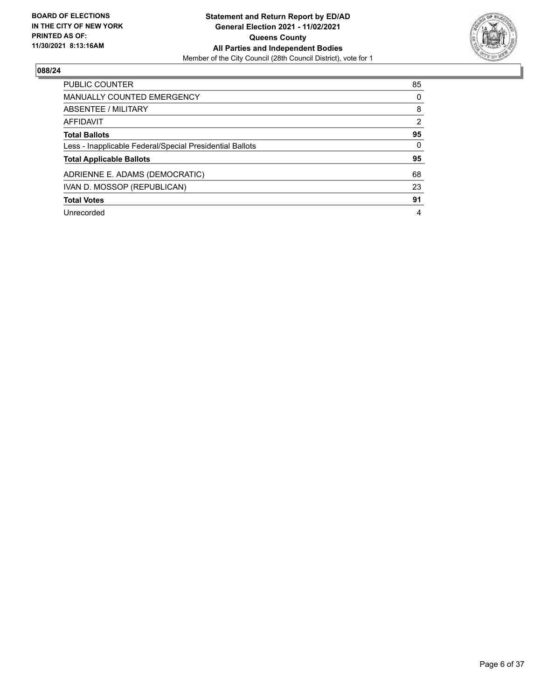

| <b>PUBLIC COUNTER</b>                                    | 85            |
|----------------------------------------------------------|---------------|
| <b>MANUALLY COUNTED EMERGENCY</b>                        | 0             |
| ABSENTEE / MILITARY                                      | 8             |
| AFFIDAVIT                                                | $\mathcal{P}$ |
| <b>Total Ballots</b>                                     | 95            |
| Less - Inapplicable Federal/Special Presidential Ballots | $\Omega$      |
| <b>Total Applicable Ballots</b>                          | 95            |
| ADRIENNE E. ADAMS (DEMOCRATIC)                           | 68            |
| IVAN D. MOSSOP (REPUBLICAN)                              | 23            |
| <b>Total Votes</b>                                       | 91            |
| Unrecorded                                               | 4             |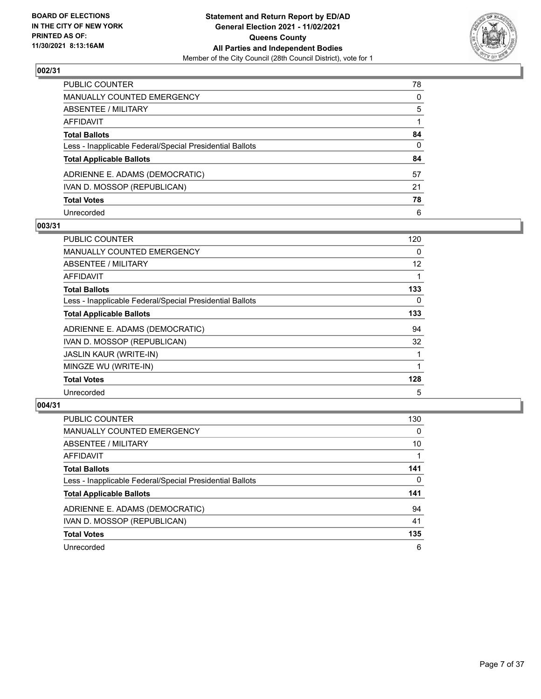

| PUBLIC COUNTER                                           | 78           |
|----------------------------------------------------------|--------------|
| MANUALLY COUNTED EMERGENCY                               | 0            |
| ABSENTEE / MILITARY                                      | 5            |
| AFFIDAVIT                                                |              |
| Total Ballots                                            | 84           |
| Less - Inapplicable Federal/Special Presidential Ballots | $\mathbf{0}$ |
| <b>Total Applicable Ballots</b>                          | 84           |
| ADRIENNE E. ADAMS (DEMOCRATIC)                           | 57           |
| IVAN D. MOSSOP (REPUBLICAN)                              | 21           |
| <b>Total Votes</b>                                       | 78           |
| Unrecorded                                               | 6            |

## **003/31**

| PUBLIC COUNTER                                           | 120      |
|----------------------------------------------------------|----------|
| <b>MANUALLY COUNTED EMERGENCY</b>                        | $\Omega$ |
| ABSENTEE / MILITARY                                      | 12       |
| <b>AFFIDAVIT</b>                                         |          |
| <b>Total Ballots</b>                                     | 133      |
| Less - Inapplicable Federal/Special Presidential Ballots | 0        |
| <b>Total Applicable Ballots</b>                          | 133      |
| ADRIENNE E. ADAMS (DEMOCRATIC)                           | 94       |
| IVAN D. MOSSOP (REPUBLICAN)                              | 32       |
| <b>JASLIN KAUR (WRITE-IN)</b>                            |          |
| MINGZE WU (WRITE-IN)                                     |          |
| <b>Total Votes</b>                                       | 128      |
| Unrecorded                                               | 5        |

| <b>PUBLIC COUNTER</b>                                    | 130      |
|----------------------------------------------------------|----------|
| MANUALLY COUNTED EMERGENCY                               | $\Omega$ |
| ABSENTEE / MILITARY                                      | 10       |
| AFFIDAVIT                                                |          |
| <b>Total Ballots</b>                                     | 141      |
| Less - Inapplicable Federal/Special Presidential Ballots | $\Omega$ |
| <b>Total Applicable Ballots</b>                          | 141      |
| ADRIENNE E. ADAMS (DEMOCRATIC)                           | 94       |
| IVAN D. MOSSOP (REPUBLICAN)                              | 41       |
| <b>Total Votes</b>                                       | 135      |
| Unrecorded                                               | 6        |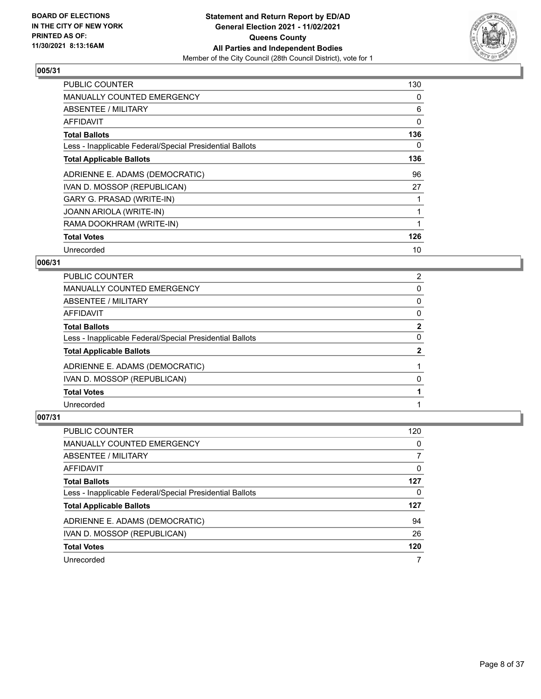

| <b>PUBLIC COUNTER</b>                                    | 130 |
|----------------------------------------------------------|-----|
| <b>MANUALLY COUNTED EMERGENCY</b>                        | 0   |
| ABSENTEE / MILITARY                                      | 6   |
| AFFIDAVIT                                                | 0   |
| <b>Total Ballots</b>                                     | 136 |
| Less - Inapplicable Federal/Special Presidential Ballots | 0   |
| <b>Total Applicable Ballots</b>                          | 136 |
| ADRIENNE E. ADAMS (DEMOCRATIC)                           | 96  |
| IVAN D. MOSSOP (REPUBLICAN)                              | 27  |
| GARY G. PRASAD (WRITE-IN)                                |     |
| <b>JOANN ARIOLA (WRITE-IN)</b>                           | 1   |
| RAMA DOOKHRAM (WRITE-IN)                                 |     |
| <b>Total Votes</b>                                       | 126 |
| Unrecorded                                               | 10  |

## **006/31**

| PUBLIC COUNTER                                           | $\overline{2}$ |
|----------------------------------------------------------|----------------|
| <b>MANUALLY COUNTED EMERGENCY</b>                        | 0              |
| ABSENTEE / MILITARY                                      | 0              |
| AFFIDAVIT                                                | 0              |
| <b>Total Ballots</b>                                     | $\mathbf{2}$   |
| Less - Inapplicable Federal/Special Presidential Ballots | 0              |
| <b>Total Applicable Ballots</b>                          | 2              |
| ADRIENNE E. ADAMS (DEMOCRATIC)                           |                |
| IVAN D. MOSSOP (REPUBLICAN)                              | 0              |
| <b>Total Votes</b>                                       |                |
| Unrecorded                                               |                |

| PUBLIC COUNTER                                           | 120 |
|----------------------------------------------------------|-----|
| <b>MANUALLY COUNTED EMERGENCY</b>                        | 0   |
| ABSENTEE / MILITARY                                      |     |
| AFFIDAVIT                                                | 0   |
| <b>Total Ballots</b>                                     | 127 |
| Less - Inapplicable Federal/Special Presidential Ballots | 0   |
| <b>Total Applicable Ballots</b>                          | 127 |
| ADRIENNE E. ADAMS (DEMOCRATIC)                           | 94  |
| IVAN D. MOSSOP (REPUBLICAN)                              | 26  |
| <b>Total Votes</b>                                       | 120 |
| Unrecorded                                               |     |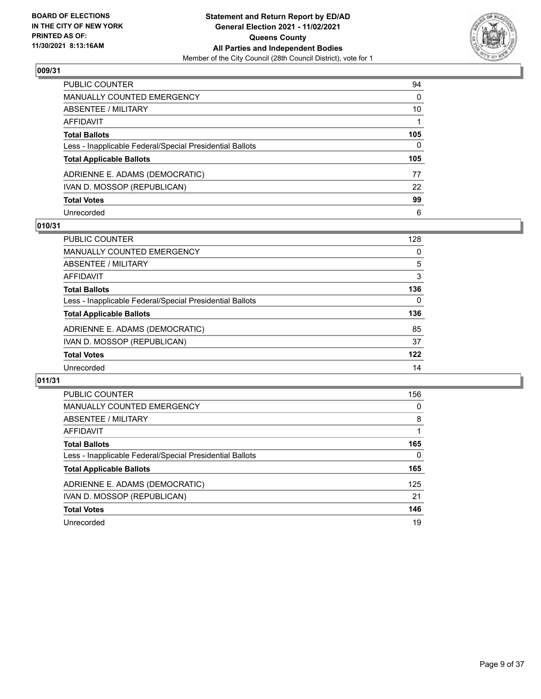

| PUBLIC COUNTER                                           | 94           |
|----------------------------------------------------------|--------------|
| <b>MANUALLY COUNTED EMERGENCY</b>                        | $\mathbf{0}$ |
| ABSENTEE / MILITARY                                      | 10           |
| <b>AFFIDAVIT</b>                                         |              |
| <b>Total Ballots</b>                                     | 105          |
| Less - Inapplicable Federal/Special Presidential Ballots | $\Omega$     |
| <b>Total Applicable Ballots</b>                          | 105          |
| ADRIENNE E. ADAMS (DEMOCRATIC)                           | 77           |
| IVAN D. MOSSOP (REPUBLICAN)                              | 22           |
| <b>Total Votes</b>                                       | 99           |
| Unrecorded                                               | 6            |

## **010/31**

| PUBLIC COUNTER                                           | 128      |
|----------------------------------------------------------|----------|
| MANUALLY COUNTED EMERGENCY                               | 0        |
| ABSENTEE / MILITARY                                      | 5        |
| AFFIDAVIT                                                | 3        |
| <b>Total Ballots</b>                                     | 136      |
| Less - Inapplicable Federal/Special Presidential Ballots | $\Omega$ |
| <b>Total Applicable Ballots</b>                          | 136      |
| ADRIENNE E. ADAMS (DEMOCRATIC)                           | 85       |
| IVAN D. MOSSOP (REPUBLICAN)                              | 37       |
| <b>Total Votes</b>                                       | 122      |
| Unrecorded                                               | 14       |

| <b>PUBLIC COUNTER</b>                                    | 156      |
|----------------------------------------------------------|----------|
| MANUALLY COUNTED EMERGENCY                               | $\Omega$ |
| ABSENTEE / MILITARY                                      | 8        |
| AFFIDAVIT                                                |          |
| <b>Total Ballots</b>                                     | 165      |
| Less - Inapplicable Federal/Special Presidential Ballots | 0        |
| <b>Total Applicable Ballots</b>                          | 165      |
| ADRIENNE E. ADAMS (DEMOCRATIC)                           | 125      |
| IVAN D. MOSSOP (REPUBLICAN)                              | 21       |
| <b>Total Votes</b>                                       | 146      |
| Unrecorded                                               | 19       |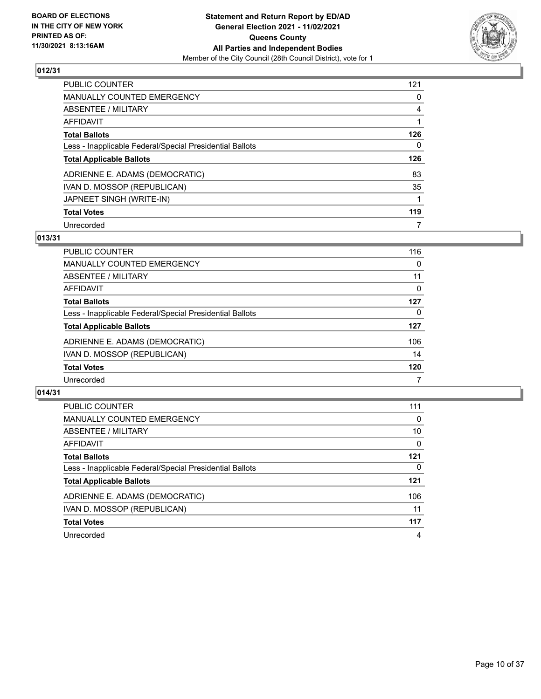

| <b>PUBLIC COUNTER</b>                                    | 121 |
|----------------------------------------------------------|-----|
| MANUALLY COUNTED EMERGENCY                               | 0   |
| ABSENTEE / MILITARY                                      | 4   |
| AFFIDAVIT                                                |     |
| <b>Total Ballots</b>                                     | 126 |
| Less - Inapplicable Federal/Special Presidential Ballots | 0   |
| <b>Total Applicable Ballots</b>                          | 126 |
| ADRIENNE E. ADAMS (DEMOCRATIC)                           | 83  |
| IVAN D. MOSSOP (REPUBLICAN)                              | 35  |
| JAPNEET SINGH (WRITE-IN)                                 |     |
| <b>Total Votes</b>                                       | 119 |
| Unrecorded                                               | 7   |

## **013/31**

| <b>PUBLIC COUNTER</b>                                    | 116      |
|----------------------------------------------------------|----------|
| MANUALLY COUNTED EMERGENCY                               | 0        |
| ABSENTEE / MILITARY                                      | 11       |
| AFFIDAVIT                                                | $\Omega$ |
| <b>Total Ballots</b>                                     | 127      |
| Less - Inapplicable Federal/Special Presidential Ballots | 0        |
| <b>Total Applicable Ballots</b>                          | 127      |
| ADRIENNE E. ADAMS (DEMOCRATIC)                           | 106      |
| IVAN D. MOSSOP (REPUBLICAN)                              | 14       |
| <b>Total Votes</b>                                       | 120      |
| Unrecorded                                               |          |

| <b>PUBLIC COUNTER</b>                                    | 111      |
|----------------------------------------------------------|----------|
| MANUALLY COUNTED EMERGENCY                               | 0        |
| ABSENTEE / MILITARY                                      | 10       |
| AFFIDAVIT                                                | $\Omega$ |
| <b>Total Ballots</b>                                     | 121      |
| Less - Inapplicable Federal/Special Presidential Ballots | 0        |
| <b>Total Applicable Ballots</b>                          | $121$    |
| ADRIENNE E. ADAMS (DEMOCRATIC)                           | 106      |
| IVAN D. MOSSOP (REPUBLICAN)                              | 11       |
| <b>Total Votes</b>                                       | 117      |
| Unrecorded                                               | 4        |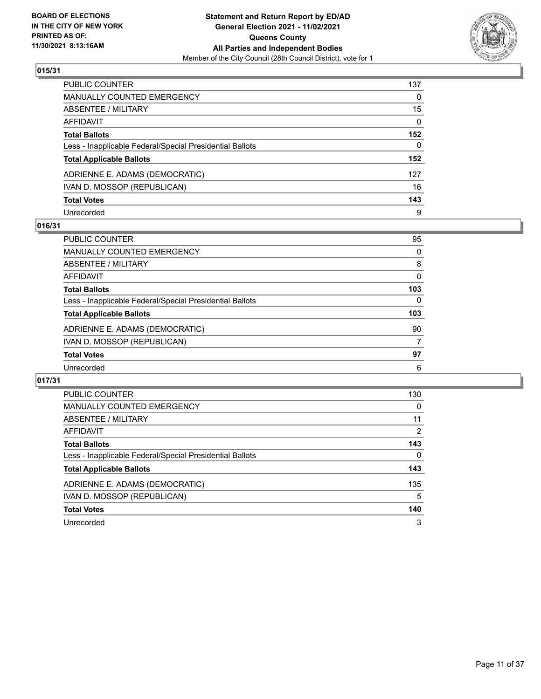

| PUBLIC COUNTER                                           | 137 |
|----------------------------------------------------------|-----|
| <b>MANUALLY COUNTED EMERGENCY</b>                        | 0   |
| <b>ABSENTEE / MILITARY</b>                               | 15  |
| <b>AFFIDAVIT</b>                                         | 0   |
| <b>Total Ballots</b>                                     | 152 |
| Less - Inapplicable Federal/Special Presidential Ballots | 0   |
| <b>Total Applicable Ballots</b>                          | 152 |
| ADRIENNE E. ADAMS (DEMOCRATIC)                           | 127 |
| IVAN D. MOSSOP (REPUBLICAN)                              | 16  |
| <b>Total Votes</b>                                       | 143 |
| Unrecorded                                               | 9   |

## **016/31**

| <b>PUBLIC COUNTER</b>                                    | 95       |
|----------------------------------------------------------|----------|
| <b>MANUALLY COUNTED EMERGENCY</b>                        | 0        |
| ABSENTEE / MILITARY                                      | 8        |
| AFFIDAVIT                                                | $\Omega$ |
| <b>Total Ballots</b>                                     | 103      |
| Less - Inapplicable Federal/Special Presidential Ballots | 0        |
| <b>Total Applicable Ballots</b>                          | 103      |
| ADRIENNE E. ADAMS (DEMOCRATIC)                           | 90       |
| IVAN D. MOSSOP (REPUBLICAN)                              | 7        |
| <b>Total Votes</b>                                       | 97       |
| Unrecorded                                               | 6        |

| <b>PUBLIC COUNTER</b>                                    | 130      |
|----------------------------------------------------------|----------|
| <b>MANUALLY COUNTED EMERGENCY</b>                        | $\Omega$ |
| ABSENTEE / MILITARY                                      | 11       |
| <b>AFFIDAVIT</b>                                         | 2        |
| <b>Total Ballots</b>                                     | 143      |
| Less - Inapplicable Federal/Special Presidential Ballots | $\Omega$ |
| <b>Total Applicable Ballots</b>                          | 143      |
| ADRIENNE E. ADAMS (DEMOCRATIC)                           | 135      |
| IVAN D. MOSSOP (REPUBLICAN)                              | 5        |
| <b>Total Votes</b>                                       | 140      |
| Unrecorded                                               | 3        |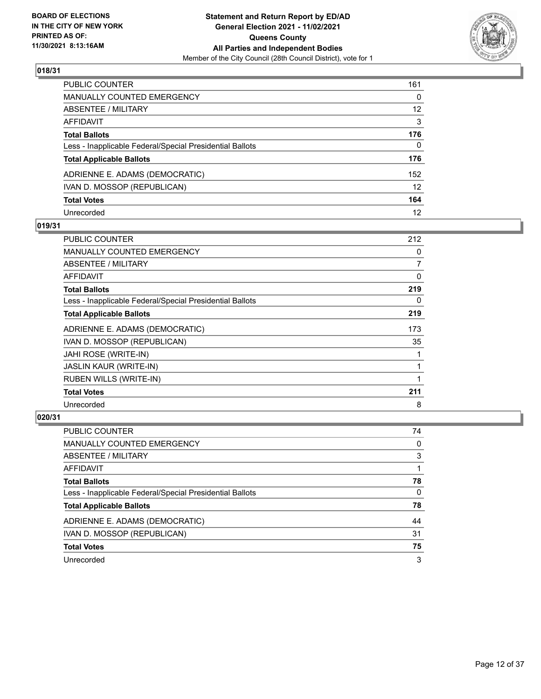

| PUBLIC COUNTER                                           | 161               |
|----------------------------------------------------------|-------------------|
| <b>MANUALLY COUNTED EMERGENCY</b>                        | $\Omega$          |
| <b>ABSENTEE / MILITARY</b>                               | 12                |
| <b>AFFIDAVIT</b>                                         | 3                 |
| <b>Total Ballots</b>                                     | 176               |
| Less - Inapplicable Federal/Special Presidential Ballots | 0                 |
| <b>Total Applicable Ballots</b>                          | 176               |
| ADRIENNE E. ADAMS (DEMOCRATIC)                           | 152               |
| IVAN D. MOSSOP (REPUBLICAN)                              | $12 \overline{ }$ |
| <b>Total Votes</b>                                       | 164               |
| Unrecorded                                               | 12                |

## **019/31**

| <b>PUBLIC COUNTER</b>                                    | 212            |
|----------------------------------------------------------|----------------|
| <b>MANUALLY COUNTED EMERGENCY</b>                        | 0              |
| ABSENTEE / MILITARY                                      | $\overline{7}$ |
| <b>AFFIDAVIT</b>                                         | $\Omega$       |
| <b>Total Ballots</b>                                     | 219            |
| Less - Inapplicable Federal/Special Presidential Ballots | 0              |
| <b>Total Applicable Ballots</b>                          | 219            |
| ADRIENNE E. ADAMS (DEMOCRATIC)                           | 173            |
| IVAN D. MOSSOP (REPUBLICAN)                              | 35             |
| JAHI ROSE (WRITE-IN)                                     |                |
| <b>JASLIN KAUR (WRITE-IN)</b>                            |                |
| RUBEN WILLS (WRITE-IN)                                   |                |
| <b>Total Votes</b>                                       | 211            |
| Unrecorded                                               | 8              |

| PUBLIC COUNTER                                           | 74       |
|----------------------------------------------------------|----------|
| MANUALLY COUNTED EMERGENCY                               | 0        |
| ABSENTEE / MILITARY                                      | 3        |
| AFFIDAVIT                                                |          |
| <b>Total Ballots</b>                                     | 78       |
| Less - Inapplicable Federal/Special Presidential Ballots | $\Omega$ |
| <b>Total Applicable Ballots</b>                          | 78       |
| ADRIENNE E. ADAMS (DEMOCRATIC)                           | 44       |
| IVAN D. MOSSOP (REPUBLICAN)                              | 31       |
| <b>Total Votes</b>                                       | 75       |
| Unrecorded                                               | 3        |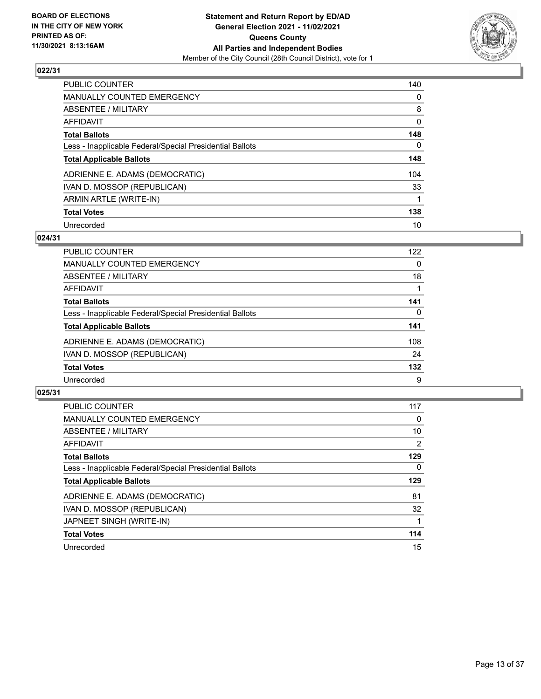

| <b>PUBLIC COUNTER</b>                                    | 140      |
|----------------------------------------------------------|----------|
| <b>MANUALLY COUNTED EMERGENCY</b>                        | $\Omega$ |
| <b>ABSENTEE / MILITARY</b>                               | 8        |
| AFFIDAVIT                                                | 0        |
| <b>Total Ballots</b>                                     | 148      |
| Less - Inapplicable Federal/Special Presidential Ballots | 0        |
| <b>Total Applicable Ballots</b>                          | 148      |
| ADRIENNE E. ADAMS (DEMOCRATIC)                           | 104      |
| IVAN D. MOSSOP (REPUBLICAN)                              | 33       |
| ARMIN ARTLE (WRITE-IN)                                   |          |
| <b>Total Votes</b>                                       | 138      |
| Unrecorded                                               | 10       |

#### **024/31**

| <b>PUBLIC COUNTER</b>                                    | 122 |
|----------------------------------------------------------|-----|
| <b>MANUALLY COUNTED EMERGENCY</b>                        | 0   |
| ABSENTEE / MILITARY                                      | 18  |
| <b>AFFIDAVIT</b>                                         |     |
| <b>Total Ballots</b>                                     | 141 |
| Less - Inapplicable Federal/Special Presidential Ballots | 0   |
| <b>Total Applicable Ballots</b>                          | 141 |
| ADRIENNE E. ADAMS (DEMOCRATIC)                           | 108 |
| IVAN D. MOSSOP (REPUBLICAN)                              | 24  |
| <b>Total Votes</b>                                       | 132 |
| Unrecorded                                               | 9   |

| <b>PUBLIC COUNTER</b>                                    | 117      |
|----------------------------------------------------------|----------|
| <b>MANUALLY COUNTED EMERGENCY</b>                        | 0        |
| ABSENTEE / MILITARY                                      | 10       |
| <b>AFFIDAVIT</b>                                         | 2        |
| <b>Total Ballots</b>                                     | 129      |
| Less - Inapplicable Federal/Special Presidential Ballots | $\Omega$ |
| <b>Total Applicable Ballots</b>                          | 129      |
| ADRIENNE E. ADAMS (DEMOCRATIC)                           | 81       |
| IVAN D. MOSSOP (REPUBLICAN)                              | 32       |
| JAPNEET SINGH (WRITE-IN)                                 |          |
| <b>Total Votes</b>                                       | 114      |
| Unrecorded                                               | 15       |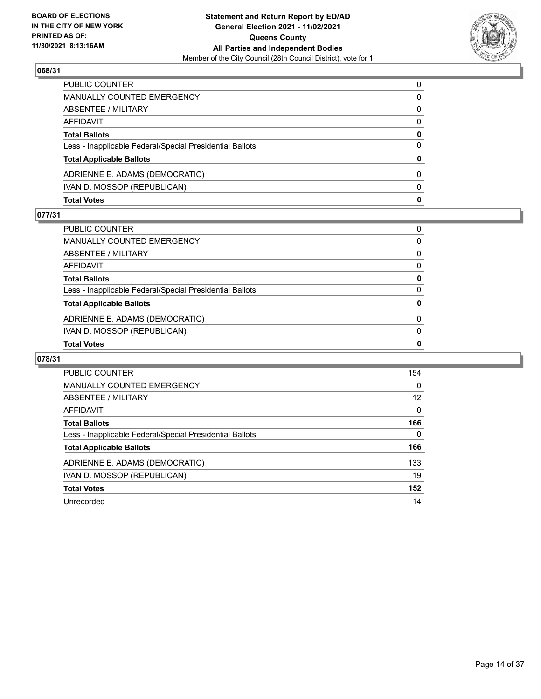

| <b>Total Votes</b>                                       | $\mathbf{0}$ |
|----------------------------------------------------------|--------------|
| IVAN D. MOSSOP (REPUBLICAN)                              | $\Omega$     |
| ADRIENNE E. ADAMS (DEMOCRATIC)                           | $\Omega$     |
| <b>Total Applicable Ballots</b>                          | 0            |
| Less - Inapplicable Federal/Special Presidential Ballots | 0            |
| <b>Total Ballots</b>                                     | 0            |
| AFFIDAVIT                                                | $\Omega$     |
| ABSENTEE / MILITARY                                      | 0            |
| <b>MANUALLY COUNTED EMERGENCY</b>                        | 0            |
| PUBLIC COUNTER                                           | $\Omega$     |

### **077/31**

| PUBLIC COUNTER                                           | 0        |
|----------------------------------------------------------|----------|
| MANUALLY COUNTED EMERGENCY                               | 0        |
| ABSENTEE / MILITARY                                      | $\Omega$ |
| AFFIDAVIT                                                | 0        |
| <b>Total Ballots</b>                                     | 0        |
| Less - Inapplicable Federal/Special Presidential Ballots | $\Omega$ |
| <b>Total Applicable Ballots</b>                          | 0        |
| ADRIENNE E. ADAMS (DEMOCRATIC)                           | 0        |
| IVAN D. MOSSOP (REPUBLICAN)                              | $\Omega$ |
| <b>Total Votes</b>                                       | 0        |
|                                                          |          |

| <b>PUBLIC COUNTER</b>                                    | 154      |
|----------------------------------------------------------|----------|
| <b>MANUALLY COUNTED EMERGENCY</b>                        | 0        |
| ABSENTEE / MILITARY                                      | 12       |
| AFFIDAVIT                                                | $\Omega$ |
| <b>Total Ballots</b>                                     | 166      |
| Less - Inapplicable Federal/Special Presidential Ballots | 0        |
| <b>Total Applicable Ballots</b>                          | 166      |
| ADRIENNE E. ADAMS (DEMOCRATIC)                           | 133      |
| IVAN D. MOSSOP (REPUBLICAN)                              | 19       |
| <b>Total Votes</b>                                       | 152      |
| Unrecorded                                               | 14       |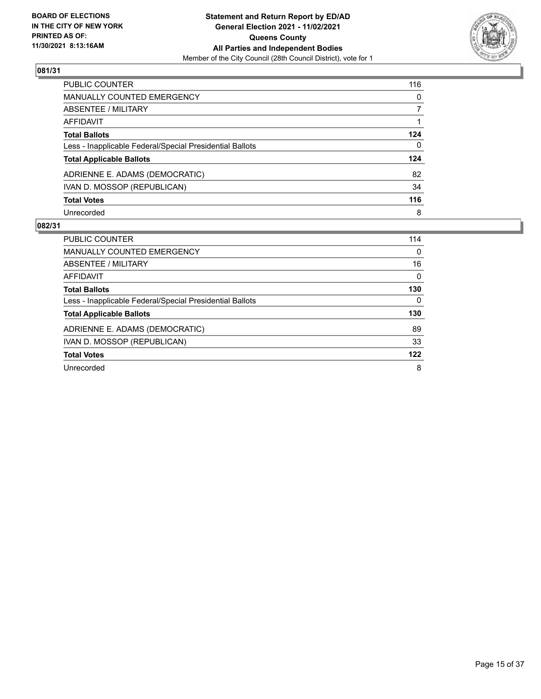

| PUBLIC COUNTER                                           | 116          |
|----------------------------------------------------------|--------------|
| MANUALLY COUNTED EMERGENCY                               | $\mathbf{0}$ |
| <b>ABSENTEE / MILITARY</b>                               | 7            |
| AFFIDAVIT                                                |              |
| <b>Total Ballots</b>                                     | 124          |
| Less - Inapplicable Federal/Special Presidential Ballots | $\mathbf{0}$ |
| <b>Total Applicable Ballots</b>                          | 124          |
| ADRIENNE E. ADAMS (DEMOCRATIC)                           | 82           |
| IVAN D. MOSSOP (REPUBLICAN)                              | 34           |
| <b>Total Votes</b>                                       | 116          |
| Unrecorded                                               | 8            |

| PUBLIC COUNTER                                           | 114      |
|----------------------------------------------------------|----------|
| <b>MANUALLY COUNTED EMERGENCY</b>                        | $\Omega$ |
| ABSENTEE / MILITARY                                      | 16       |
| AFFIDAVIT                                                | $\Omega$ |
| <b>Total Ballots</b>                                     | 130      |
| Less - Inapplicable Federal/Special Presidential Ballots | $\Omega$ |
| <b>Total Applicable Ballots</b>                          | 130      |
| ADRIENNE E. ADAMS (DEMOCRATIC)                           | 89       |
| IVAN D. MOSSOP (REPUBLICAN)                              | 33       |
| <b>Total Votes</b>                                       | 122      |
| Unrecorded                                               | 8        |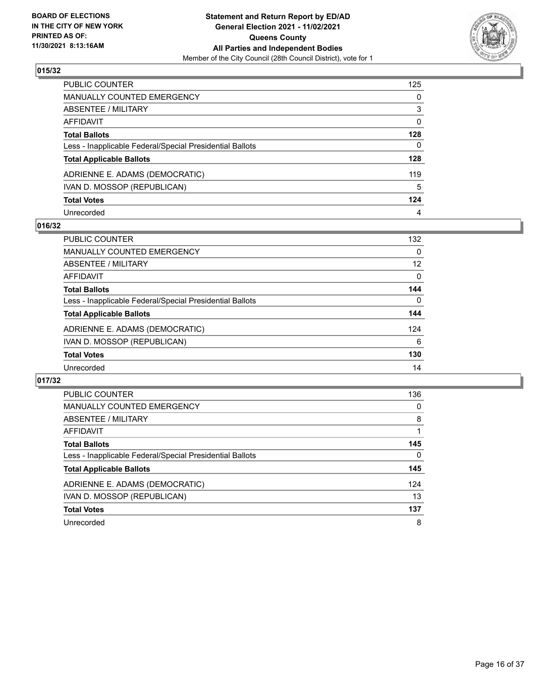

| PUBLIC COUNTER                                           | 125          |
|----------------------------------------------------------|--------------|
| <b>MANUALLY COUNTED EMERGENCY</b>                        | 0            |
| ABSENTEE / MILITARY                                      | 3            |
| <b>AFFIDAVIT</b>                                         | 0            |
| <b>Total Ballots</b>                                     | 128          |
| Less - Inapplicable Federal/Special Presidential Ballots | $\mathbf{0}$ |
| <b>Total Applicable Ballots</b>                          | 128          |
| ADRIENNE E. ADAMS (DEMOCRATIC)                           | 119          |
| IVAN D. MOSSOP (REPUBLICAN)                              | 5            |
| <b>Total Votes</b>                                       | 124          |
| Unrecorded                                               | 4            |

## **016/32**

| PUBLIC COUNTER                                           | 132      |
|----------------------------------------------------------|----------|
| MANUALLY COUNTED EMERGENCY                               | $\Omega$ |
| ABSENTEE / MILITARY                                      | 12       |
| AFFIDAVIT                                                | $\Omega$ |
| <b>Total Ballots</b>                                     | 144      |
| Less - Inapplicable Federal/Special Presidential Ballots | $\Omega$ |
| <b>Total Applicable Ballots</b>                          | 144      |
| ADRIENNE E. ADAMS (DEMOCRATIC)                           | 124      |
| IVAN D. MOSSOP (REPUBLICAN)                              | 6        |
| <b>Total Votes</b>                                       | 130      |
| Unrecorded                                               | 14       |

| <b>PUBLIC COUNTER</b>                                    | 136      |
|----------------------------------------------------------|----------|
| <b>MANUALLY COUNTED EMERGENCY</b>                        | $\Omega$ |
| ABSENTEE / MILITARY                                      | 8        |
| AFFIDAVIT                                                |          |
| <b>Total Ballots</b>                                     | 145      |
| Less - Inapplicable Federal/Special Presidential Ballots | 0        |
| <b>Total Applicable Ballots</b>                          | 145      |
| ADRIENNE E. ADAMS (DEMOCRATIC)                           | 124      |
| IVAN D. MOSSOP (REPUBLICAN)                              | 13       |
| <b>Total Votes</b>                                       | 137      |
| Unrecorded                                               | 8        |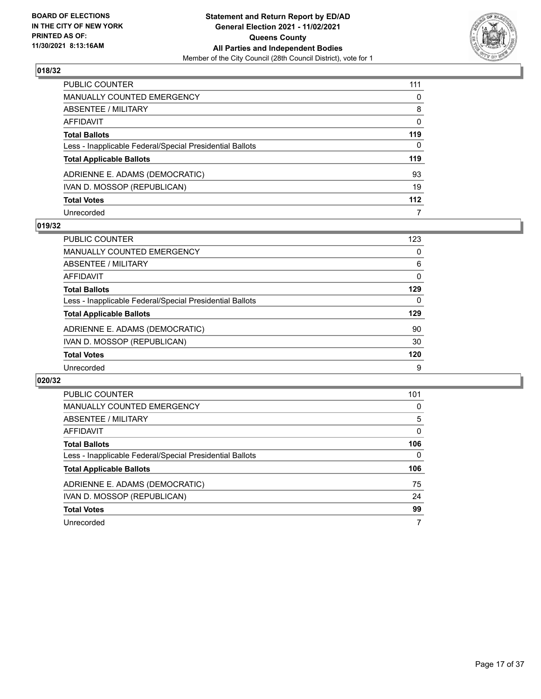

| PUBLIC COUNTER                                           | 111          |
|----------------------------------------------------------|--------------|
| <b>MANUALLY COUNTED EMERGENCY</b>                        | 0            |
| <b>ABSENTEE / MILITARY</b>                               | 8            |
| AFFIDAVIT                                                | $\mathbf{0}$ |
| <b>Total Ballots</b>                                     | 119          |
| Less - Inapplicable Federal/Special Presidential Ballots | $\mathbf{0}$ |
| <b>Total Applicable Ballots</b>                          | 119          |
| ADRIENNE E. ADAMS (DEMOCRATIC)                           | 93           |
| IVAN D. MOSSOP (REPUBLICAN)                              | 19           |
| <b>Total Votes</b>                                       | 112          |
| Unrecorded                                               | 7            |

#### **019/32**

| <b>PUBLIC COUNTER</b>                                    | 123 |
|----------------------------------------------------------|-----|
| MANUALLY COUNTED EMERGENCY                               | 0   |
| ABSENTEE / MILITARY                                      | 6   |
| AFFIDAVIT                                                | 0   |
| <b>Total Ballots</b>                                     | 129 |
| Less - Inapplicable Federal/Special Presidential Ballots | 0   |
| <b>Total Applicable Ballots</b>                          | 129 |
| ADRIENNE E. ADAMS (DEMOCRATIC)                           | 90  |
| IVAN D. MOSSOP (REPUBLICAN)                              | 30  |
| <b>Total Votes</b>                                       | 120 |
| Unrecorded                                               | 9   |

| <b>PUBLIC COUNTER</b>                                    | 101 |
|----------------------------------------------------------|-----|
| <b>MANUALLY COUNTED EMERGENCY</b>                        | 0   |
| ABSENTEE / MILITARY                                      | 5   |
| <b>AFFIDAVIT</b>                                         | 0   |
| <b>Total Ballots</b>                                     | 106 |
| Less - Inapplicable Federal/Special Presidential Ballots | 0   |
| <b>Total Applicable Ballots</b>                          | 106 |
| ADRIENNE E. ADAMS (DEMOCRATIC)                           | 75  |
| IVAN D. MOSSOP (REPUBLICAN)                              | 24  |
| <b>Total Votes</b>                                       | 99  |
| Unrecorded                                               | 7   |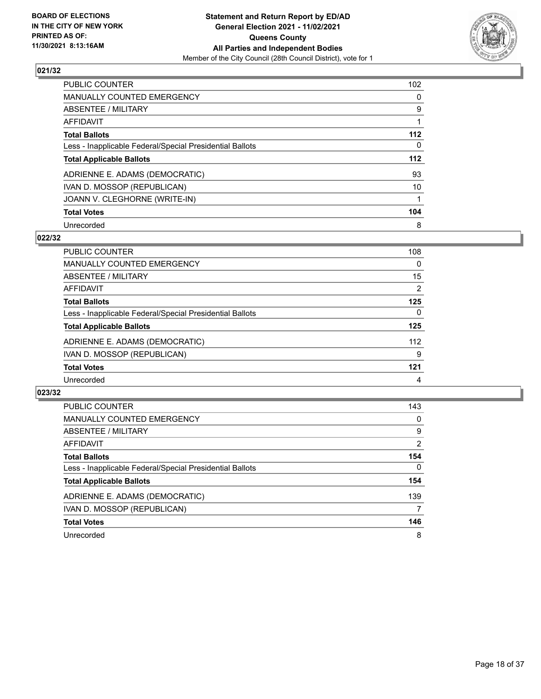

| <b>PUBLIC COUNTER</b>                                    | 102      |
|----------------------------------------------------------|----------|
| <b>MANUALLY COUNTED EMERGENCY</b>                        | $\Omega$ |
| ABSENTEE / MILITARY                                      | 9        |
| <b>AFFIDAVIT</b>                                         |          |
| <b>Total Ballots</b>                                     | $112$    |
| Less - Inapplicable Federal/Special Presidential Ballots | 0        |
| <b>Total Applicable Ballots</b>                          | 112      |
| ADRIENNE E. ADAMS (DEMOCRATIC)                           | 93       |
| IVAN D. MOSSOP (REPUBLICAN)                              | 10       |
| JOANN V. CLEGHORNE (WRITE-IN)                            |          |
| <b>Total Votes</b>                                       | 104      |
| Unrecorded                                               | 8        |

#### **022/32**

| <b>PUBLIC COUNTER</b>                                    | 108      |
|----------------------------------------------------------|----------|
| MANUALLY COUNTED EMERGENCY                               | $\Omega$ |
| ABSENTEE / MILITARY                                      | 15       |
| AFFIDAVIT                                                | 2        |
| <b>Total Ballots</b>                                     | 125      |
| Less - Inapplicable Federal/Special Presidential Ballots | $\Omega$ |
| <b>Total Applicable Ballots</b>                          | 125      |
| ADRIENNE E. ADAMS (DEMOCRATIC)                           | 112      |
| IVAN D. MOSSOP (REPUBLICAN)                              | 9        |
| <b>Total Votes</b>                                       | 121      |
| Unrecorded                                               | 4        |

| <b>PUBLIC COUNTER</b>                                    | 143            |
|----------------------------------------------------------|----------------|
| <b>MANUALLY COUNTED EMERGENCY</b>                        | 0              |
| ABSENTEE / MILITARY                                      | 9              |
| AFFIDAVIT                                                | $\overline{2}$ |
| <b>Total Ballots</b>                                     | 154            |
| Less - Inapplicable Federal/Special Presidential Ballots | $\Omega$       |
| <b>Total Applicable Ballots</b>                          | 154            |
| ADRIENNE E. ADAMS (DEMOCRATIC)                           | 139            |
| IVAN D. MOSSOP (REPUBLICAN)                              | 7              |
| <b>Total Votes</b>                                       | 146            |
| Unrecorded                                               | 8              |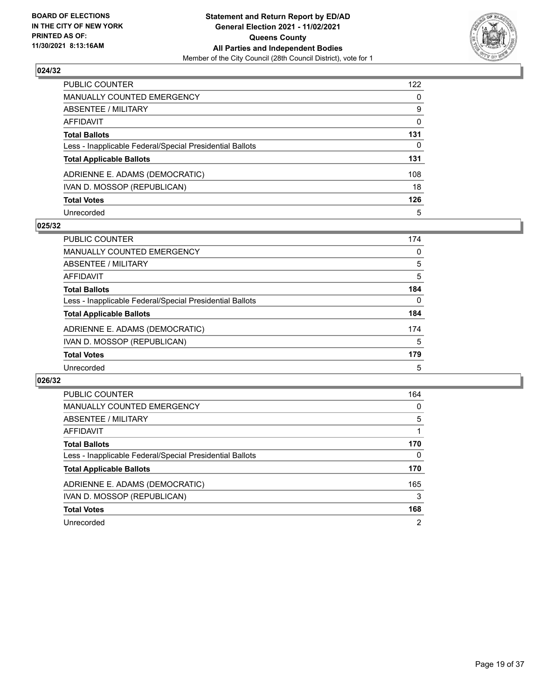

| PUBLIC COUNTER                                           | 122          |
|----------------------------------------------------------|--------------|
| MANUALLY COUNTED EMERGENCY                               | $\mathbf{0}$ |
| <b>ABSENTEE / MILITARY</b>                               | 9            |
| AFFIDAVIT                                                | $\mathbf{0}$ |
| <b>Total Ballots</b>                                     | 131          |
| Less - Inapplicable Federal/Special Presidential Ballots | 0            |
| <b>Total Applicable Ballots</b>                          | 131          |
| ADRIENNE E. ADAMS (DEMOCRATIC)                           | 108          |
| IVAN D. MOSSOP (REPUBLICAN)                              | 18           |
| <b>Total Votes</b>                                       | 126          |
| Unrecorded                                               | 5            |

#### **025/32**

| <b>PUBLIC COUNTER</b>                                    | 174 |
|----------------------------------------------------------|-----|
| MANUALLY COUNTED EMERGENCY                               | 0   |
| ABSENTEE / MILITARY                                      | 5   |
| AFFIDAVIT                                                | 5   |
| <b>Total Ballots</b>                                     | 184 |
| Less - Inapplicable Federal/Special Presidential Ballots | 0   |
| <b>Total Applicable Ballots</b>                          | 184 |
| ADRIENNE E. ADAMS (DEMOCRATIC)                           | 174 |
| IVAN D. MOSSOP (REPUBLICAN)                              | 5   |
| <b>Total Votes</b>                                       | 179 |
| Unrecorded                                               | 5   |

| <b>PUBLIC COUNTER</b>                                    | 164            |
|----------------------------------------------------------|----------------|
| <b>MANUALLY COUNTED EMERGENCY</b>                        | $\Omega$       |
| ABSENTEE / MILITARY                                      | 5              |
| <b>AFFIDAVIT</b>                                         |                |
| <b>Total Ballots</b>                                     | 170            |
| Less - Inapplicable Federal/Special Presidential Ballots | $\Omega$       |
| <b>Total Applicable Ballots</b>                          | 170            |
| ADRIENNE E. ADAMS (DEMOCRATIC)                           | 165            |
| IVAN D. MOSSOP (REPUBLICAN)                              | 3              |
| <b>Total Votes</b>                                       | 168            |
| Unrecorded                                               | $\overline{2}$ |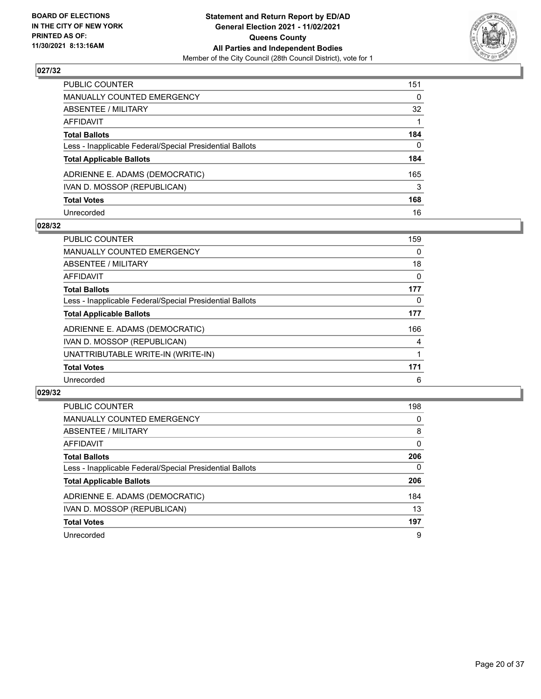

| PUBLIC COUNTER                                           | 151          |
|----------------------------------------------------------|--------------|
| <b>MANUALLY COUNTED EMERGENCY</b>                        | 0            |
| ABSENTEE / MILITARY                                      | 32           |
| AFFIDAVIT                                                |              |
| <b>Total Ballots</b>                                     | 184          |
| Less - Inapplicable Federal/Special Presidential Ballots | $\mathbf{0}$ |
| <b>Total Applicable Ballots</b>                          | 184          |
| ADRIENNE E. ADAMS (DEMOCRATIC)                           | 165          |
| IVAN D. MOSSOP (REPUBLICAN)                              | 3            |
| <b>Total Votes</b>                                       | 168          |
| Unrecorded                                               | 16           |

## **028/32**

| <b>PUBLIC COUNTER</b>                                    | 159 |
|----------------------------------------------------------|-----|
| MANUALLY COUNTED EMERGENCY                               | 0   |
| ABSENTEE / MILITARY                                      | 18  |
| <b>AFFIDAVIT</b>                                         | 0   |
| <b>Total Ballots</b>                                     | 177 |
| Less - Inapplicable Federal/Special Presidential Ballots | 0   |
| <b>Total Applicable Ballots</b>                          | 177 |
| ADRIENNE E. ADAMS (DEMOCRATIC)                           | 166 |
| IVAN D. MOSSOP (REPUBLICAN)                              | 4   |
| UNATTRIBUTABLE WRITE-IN (WRITE-IN)                       |     |
| <b>Total Votes</b>                                       | 171 |
| Unrecorded                                               | 6   |

| <b>PUBLIC COUNTER</b>                                    | 198      |
|----------------------------------------------------------|----------|
| MANUALLY COUNTED EMERGENCY                               | 0        |
| ABSENTEE / MILITARY                                      | 8        |
| AFFIDAVIT                                                | $\Omega$ |
| <b>Total Ballots</b>                                     | 206      |
| Less - Inapplicable Federal/Special Presidential Ballots | $\Omega$ |
| <b>Total Applicable Ballots</b>                          | 206      |
| ADRIENNE E. ADAMS (DEMOCRATIC)                           | 184      |
| IVAN D. MOSSOP (REPUBLICAN)                              | 13       |
| <b>Total Votes</b>                                       | 197      |
| Unrecorded                                               | 9        |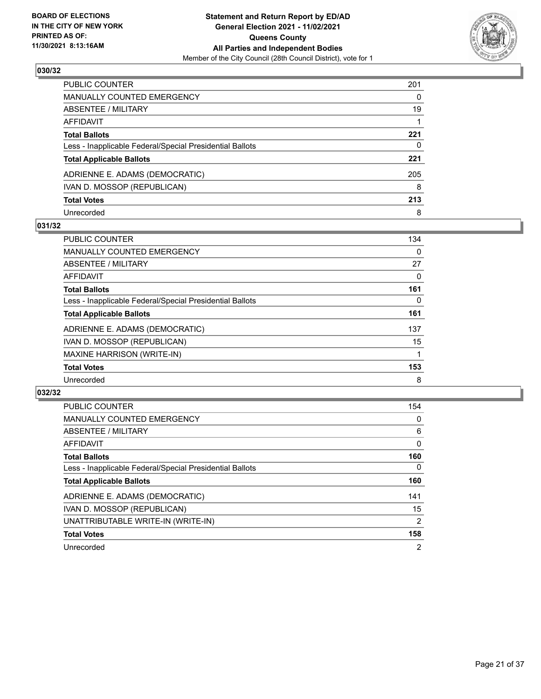

| <b>PUBLIC COUNTER</b>                                    | 201 |
|----------------------------------------------------------|-----|
| <b>MANUALLY COUNTED EMERGENCY</b>                        | 0   |
| <b>ABSENTEE / MILITARY</b>                               | 19  |
| AFFIDAVIT                                                |     |
| <b>Total Ballots</b>                                     | 221 |
| Less - Inapplicable Federal/Special Presidential Ballots | 0   |
| <b>Total Applicable Ballots</b>                          | 221 |
| ADRIENNE E. ADAMS (DEMOCRATIC)                           | 205 |
| IVAN D. MOSSOP (REPUBLICAN)                              | 8   |
| <b>Total Votes</b>                                       | 213 |
| Unrecorded                                               | 8   |

## **031/32**

| <b>PUBLIC COUNTER</b>                                    | 134      |
|----------------------------------------------------------|----------|
| MANUALLY COUNTED EMERGENCY                               | $\Omega$ |
| ABSENTEE / MILITARY                                      | 27       |
| <b>AFFIDAVIT</b>                                         | 0        |
| <b>Total Ballots</b>                                     | 161      |
| Less - Inapplicable Federal/Special Presidential Ballots | 0        |
| <b>Total Applicable Ballots</b>                          | 161      |
| ADRIENNE E. ADAMS (DEMOCRATIC)                           | 137      |
| IVAN D. MOSSOP (REPUBLICAN)                              | 15       |
| <b>MAXINE HARRISON (WRITE-IN)</b>                        |          |
| <b>Total Votes</b>                                       | 153      |
| Unrecorded                                               | 8        |

| <b>PUBLIC COUNTER</b>                                    | 154            |
|----------------------------------------------------------|----------------|
| <b>MANUALLY COUNTED EMERGENCY</b>                        | 0              |
| ABSENTEE / MILITARY                                      | 6              |
| <b>AFFIDAVIT</b>                                         | $\mathbf{0}$   |
| <b>Total Ballots</b>                                     | 160            |
| Less - Inapplicable Federal/Special Presidential Ballots | $\Omega$       |
| <b>Total Applicable Ballots</b>                          | 160            |
| ADRIENNE E. ADAMS (DEMOCRATIC)                           | 141            |
| IVAN D. MOSSOP (REPUBLICAN)                              | 15             |
| UNATTRIBUTABLE WRITE-IN (WRITE-IN)                       | $\overline{2}$ |
| <b>Total Votes</b>                                       | 158            |
| Unrecorded                                               | $\overline{2}$ |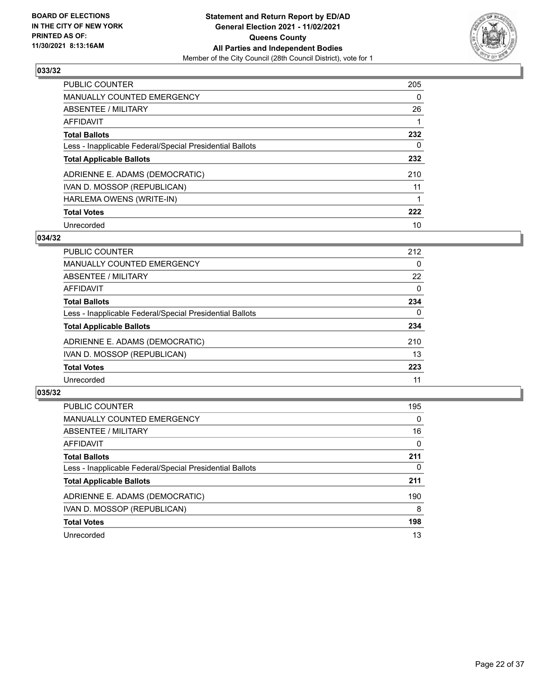

| <b>PUBLIC COUNTER</b>                                    | 205      |
|----------------------------------------------------------|----------|
| MANUALLY COUNTED EMERGENCY                               | $\Omega$ |
| ABSENTEE / MILITARY                                      | 26       |
| AFFIDAVIT                                                |          |
| <b>Total Ballots</b>                                     | 232      |
| Less - Inapplicable Federal/Special Presidential Ballots | 0        |
| <b>Total Applicable Ballots</b>                          | 232      |
| ADRIENNE E. ADAMS (DEMOCRATIC)                           | 210      |
| IVAN D. MOSSOP (REPUBLICAN)                              | 11       |
| HARLEMA OWENS (WRITE-IN)                                 |          |
| <b>Total Votes</b>                                       | 222      |
| Unrecorded                                               | 10       |

#### **034/32**

| <b>PUBLIC COUNTER</b>                                    | 212      |
|----------------------------------------------------------|----------|
| <b>MANUALLY COUNTED EMERGENCY</b>                        | 0        |
| ABSENTEE / MILITARY                                      | 22       |
| AFFIDAVIT                                                | $\Omega$ |
| <b>Total Ballots</b>                                     | 234      |
| Less - Inapplicable Federal/Special Presidential Ballots | 0        |
| <b>Total Applicable Ballots</b>                          | 234      |
| ADRIENNE E. ADAMS (DEMOCRATIC)                           | 210      |
| IVAN D. MOSSOP (REPUBLICAN)                              | 13       |
| <b>Total Votes</b>                                       | 223      |
| Unrecorded                                               | 11       |

| <b>PUBLIC COUNTER</b>                                    | 195      |
|----------------------------------------------------------|----------|
| <b>MANUALLY COUNTED EMERGENCY</b>                        | 0        |
| ABSENTEE / MILITARY                                      | 16       |
| AFFIDAVIT                                                | $\Omega$ |
| <b>Total Ballots</b>                                     | 211      |
| Less - Inapplicable Federal/Special Presidential Ballots | $\Omega$ |
| <b>Total Applicable Ballots</b>                          | 211      |
| ADRIENNE E. ADAMS (DEMOCRATIC)                           | 190      |
| IVAN D. MOSSOP (REPUBLICAN)                              | 8        |
| <b>Total Votes</b>                                       | 198      |
| Unrecorded                                               | 13       |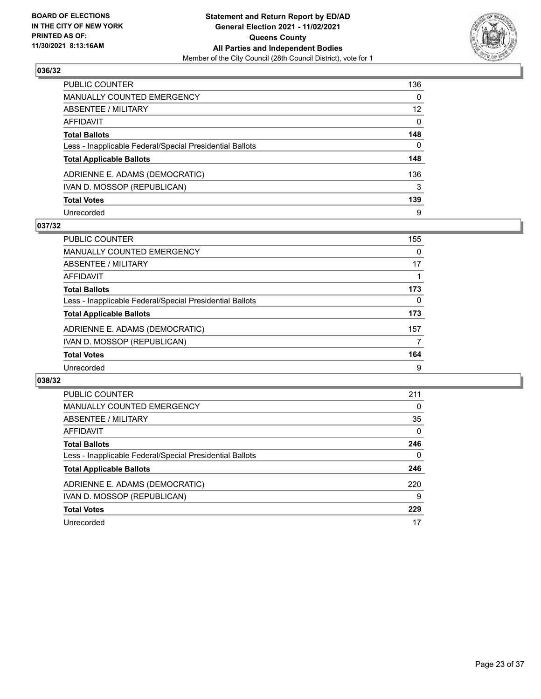

| PUBLIC COUNTER                                           | 136             |
|----------------------------------------------------------|-----------------|
| MANUALLY COUNTED EMERGENCY                               | $\mathbf{0}$    |
| ABSENTEE / MILITARY                                      | 12 <sup>2</sup> |
| <b>AFFIDAVIT</b>                                         | $\mathbf{0}$    |
| <b>Total Ballots</b>                                     | 148             |
| Less - Inapplicable Federal/Special Presidential Ballots | $\mathbf{0}$    |
| <b>Total Applicable Ballots</b>                          | 148             |
| ADRIENNE E. ADAMS (DEMOCRATIC)                           | 136             |
| IVAN D. MOSSOP (REPUBLICAN)                              | 3               |
| <b>Total Votes</b>                                       | 139             |
| Unrecorded                                               | 9               |

## **037/32**

| <b>PUBLIC COUNTER</b>                                    | 155      |
|----------------------------------------------------------|----------|
| <b>MANUALLY COUNTED EMERGENCY</b>                        | $\Omega$ |
| ABSENTEE / MILITARY                                      | 17       |
| AFFIDAVIT                                                |          |
| <b>Total Ballots</b>                                     | 173      |
| Less - Inapplicable Federal/Special Presidential Ballots | 0        |
| <b>Total Applicable Ballots</b>                          | 173      |
| ADRIENNE E. ADAMS (DEMOCRATIC)                           | 157      |
| IVAN D. MOSSOP (REPUBLICAN)                              |          |
| <b>Total Votes</b>                                       | 164      |
| Unrecorded                                               | 9        |

| <b>PUBLIC COUNTER</b>                                    | 211      |
|----------------------------------------------------------|----------|
| <b>MANUALLY COUNTED EMERGENCY</b>                        | 0        |
| ABSENTEE / MILITARY                                      | 35       |
| <b>AFFIDAVIT</b>                                         | $\Omega$ |
| <b>Total Ballots</b>                                     | 246      |
| Less - Inapplicable Federal/Special Presidential Ballots | 0        |
| <b>Total Applicable Ballots</b>                          | 246      |
| ADRIENNE E. ADAMS (DEMOCRATIC)                           | 220      |
| IVAN D. MOSSOP (REPUBLICAN)                              | 9        |
| <b>Total Votes</b>                                       | 229      |
| Unrecorded                                               | 17       |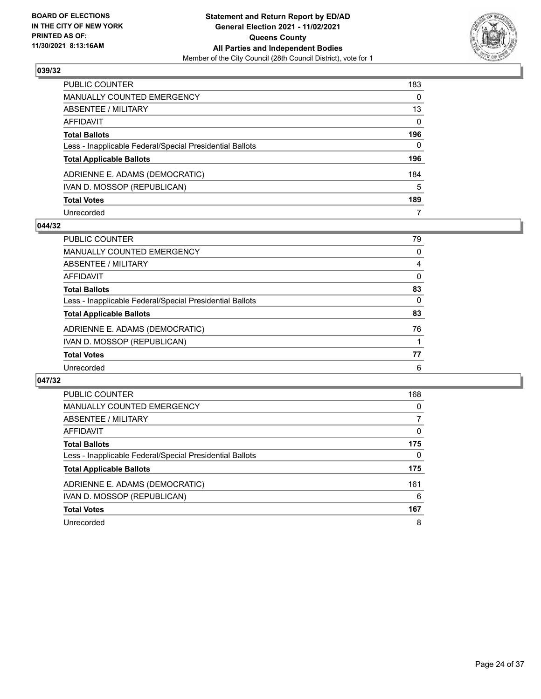

| PUBLIC COUNTER                                           | 183          |
|----------------------------------------------------------|--------------|
| <b>MANUALLY COUNTED EMERGENCY</b>                        | 0            |
| <b>ABSENTEE / MILITARY</b>                               | 13           |
| AFFIDAVIT                                                | $\mathbf{0}$ |
| <b>Total Ballots</b>                                     | 196          |
| Less - Inapplicable Federal/Special Presidential Ballots | 0            |
| <b>Total Applicable Ballots</b>                          | 196          |
| ADRIENNE E. ADAMS (DEMOCRATIC)                           | 184          |
| IVAN D. MOSSOP (REPUBLICAN)                              | 5            |
| <b>Total Votes</b>                                       | 189          |
| Unrecorded                                               | 7            |

#### **044/32**

| <b>PUBLIC COUNTER</b>                                    | 79       |
|----------------------------------------------------------|----------|
| <b>MANUALLY COUNTED EMERGENCY</b>                        | 0        |
| ABSENTEE / MILITARY                                      | 4        |
| AFFIDAVIT                                                | $\Omega$ |
| <b>Total Ballots</b>                                     | 83       |
| Less - Inapplicable Federal/Special Presidential Ballots | $\Omega$ |
| <b>Total Applicable Ballots</b>                          | 83       |
| ADRIENNE E. ADAMS (DEMOCRATIC)                           | 76       |
| IVAN D. MOSSOP (REPUBLICAN)                              |          |
| <b>Total Votes</b>                                       | 77       |
| Unrecorded                                               | 6        |

| <b>PUBLIC COUNTER</b>                                    | 168 |
|----------------------------------------------------------|-----|
| <b>MANUALLY COUNTED EMERGENCY</b>                        | 0   |
| ABSENTEE / MILITARY                                      |     |
| <b>AFFIDAVIT</b>                                         | 0   |
| <b>Total Ballots</b>                                     | 175 |
| Less - Inapplicable Federal/Special Presidential Ballots | 0   |
| <b>Total Applicable Ballots</b>                          | 175 |
| ADRIENNE E. ADAMS (DEMOCRATIC)                           | 161 |
| IVAN D. MOSSOP (REPUBLICAN)                              | 6   |
| <b>Total Votes</b>                                       | 167 |
| Unrecorded                                               | 8   |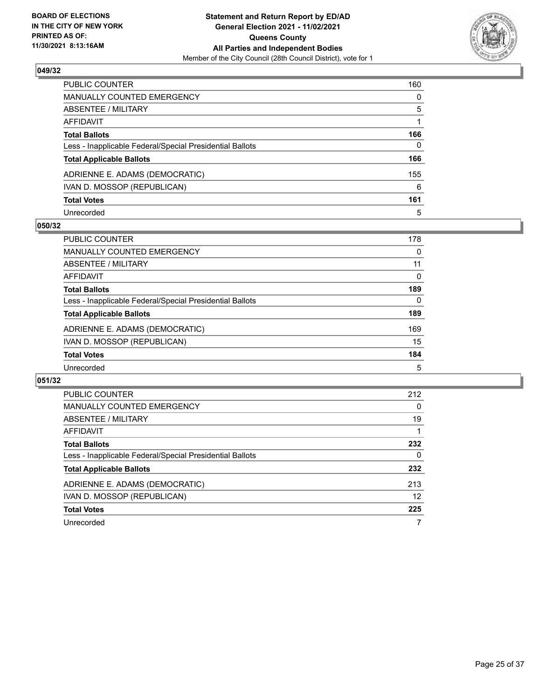

| PUBLIC COUNTER                                           | 160 |
|----------------------------------------------------------|-----|
| <b>MANUALLY COUNTED EMERGENCY</b>                        | 0   |
| <b>ABSENTEE / MILITARY</b>                               | 5   |
| AFFIDAVIT                                                |     |
| <b>Total Ballots</b>                                     | 166 |
| Less - Inapplicable Federal/Special Presidential Ballots | 0   |
| <b>Total Applicable Ballots</b>                          | 166 |
| ADRIENNE E. ADAMS (DEMOCRATIC)                           | 155 |
| IVAN D. MOSSOP (REPUBLICAN)                              | 6   |
| <b>Total Votes</b>                                       | 161 |
| Unrecorded                                               | 5   |

## **050/32**

| <b>PUBLIC COUNTER</b>                                    | 178      |
|----------------------------------------------------------|----------|
| <b>MANUALLY COUNTED EMERGENCY</b>                        | $\Omega$ |
| ABSENTEE / MILITARY                                      | 11       |
| AFFIDAVIT                                                | 0        |
| <b>Total Ballots</b>                                     | 189      |
| Less - Inapplicable Federal/Special Presidential Ballots | 0        |
| <b>Total Applicable Ballots</b>                          | 189      |
| ADRIENNE E. ADAMS (DEMOCRATIC)                           | 169      |
| IVAN D. MOSSOP (REPUBLICAN)                              | 15       |
| <b>Total Votes</b>                                       | 184      |
| Unrecorded                                               | 5        |

| PUBLIC COUNTER                                           | 212 |
|----------------------------------------------------------|-----|
| <b>MANUALLY COUNTED EMERGENCY</b>                        | 0   |
| ABSENTEE / MILITARY                                      | 19  |
| AFFIDAVIT                                                |     |
| <b>Total Ballots</b>                                     | 232 |
| Less - Inapplicable Federal/Special Presidential Ballots | 0   |
| <b>Total Applicable Ballots</b>                          | 232 |
| ADRIENNE E. ADAMS (DEMOCRATIC)                           | 213 |
| IVAN D. MOSSOP (REPUBLICAN)                              | 12  |
| <b>Total Votes</b>                                       | 225 |
| Unrecorded                                               | 7   |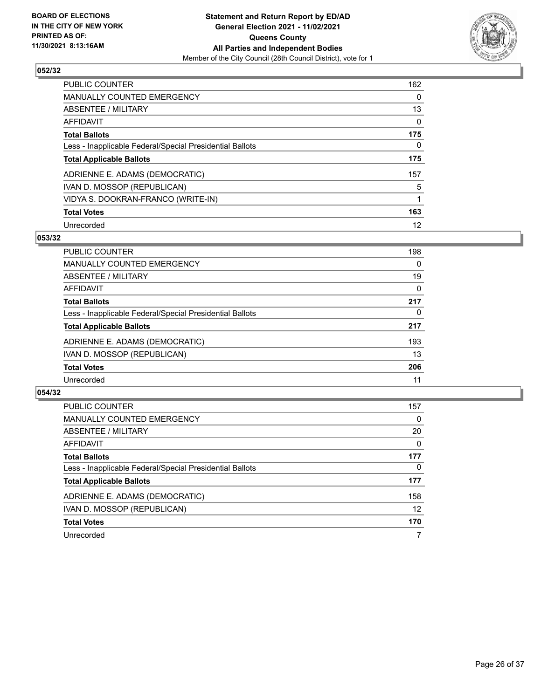

| <b>PUBLIC COUNTER</b>                                    | 162      |
|----------------------------------------------------------|----------|
| <b>MANUALLY COUNTED EMERGENCY</b>                        | $\Omega$ |
| ABSENTEE / MILITARY                                      | 13       |
| AFFIDAVIT                                                | $\Omega$ |
| <b>Total Ballots</b>                                     | 175      |
| Less - Inapplicable Federal/Special Presidential Ballots | 0        |
| <b>Total Applicable Ballots</b>                          | 175      |
| ADRIENNE E. ADAMS (DEMOCRATIC)                           | 157      |
| IVAN D. MOSSOP (REPUBLICAN)                              | 5        |
| VIDYA S. DOOKRAN-FRANCO (WRITE-IN)                       |          |
| <b>Total Votes</b>                                       | 163      |
| Unrecorded                                               | 12       |

### **053/32**

| PUBLIC COUNTER                                           | 198      |
|----------------------------------------------------------|----------|
| <b>MANUALLY COUNTED EMERGENCY</b>                        | 0        |
| ABSENTEE / MILITARY                                      | 19       |
| AFFIDAVIT                                                | $\Omega$ |
| <b>Total Ballots</b>                                     | 217      |
| Less - Inapplicable Federal/Special Presidential Ballots | 0        |
| <b>Total Applicable Ballots</b>                          | 217      |
| ADRIENNE E. ADAMS (DEMOCRATIC)                           | 193      |
| IVAN D. MOSSOP (REPUBLICAN)                              | 13       |
| <b>Total Votes</b>                                       | 206      |
| Unrecorded                                               | 11       |

| <b>PUBLIC COUNTER</b>                                    | 157               |
|----------------------------------------------------------|-------------------|
| <b>MANUALLY COUNTED EMERGENCY</b>                        | $\Omega$          |
| ABSENTEE / MILITARY                                      | 20                |
| AFFIDAVIT                                                | $\Omega$          |
| <b>Total Ballots</b>                                     | 177               |
| Less - Inapplicable Federal/Special Presidential Ballots | 0                 |
| <b>Total Applicable Ballots</b>                          | 177               |
| ADRIENNE E. ADAMS (DEMOCRATIC)                           | 158               |
| IVAN D. MOSSOP (REPUBLICAN)                              | $12 \overline{ }$ |
| <b>Total Votes</b>                                       | 170               |
| Unrecorded                                               | 7                 |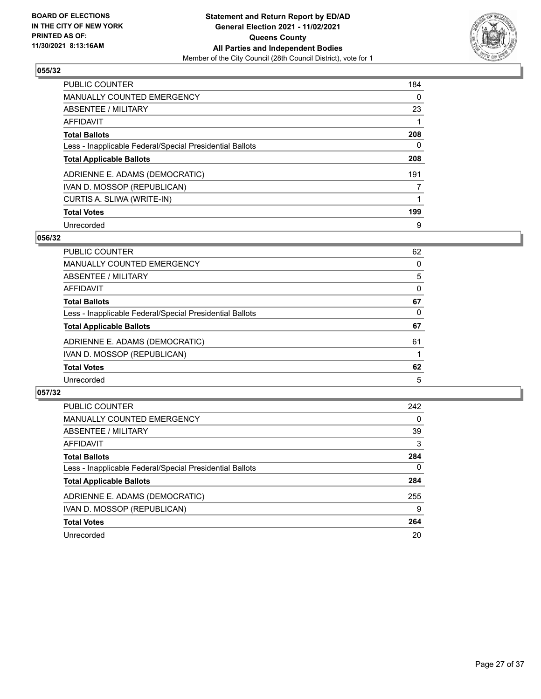

| <b>PUBLIC COUNTER</b>                                    | 184      |
|----------------------------------------------------------|----------|
| <b>MANUALLY COUNTED EMERGENCY</b>                        | $\Omega$ |
| ABSENTEE / MILITARY                                      | 23       |
| <b>AFFIDAVIT</b>                                         |          |
| <b>Total Ballots</b>                                     | 208      |
| Less - Inapplicable Federal/Special Presidential Ballots | 0        |
| <b>Total Applicable Ballots</b>                          | 208      |
| ADRIENNE E. ADAMS (DEMOCRATIC)                           | 191      |
| IVAN D. MOSSOP (REPUBLICAN)                              | 7        |
| CURTIS A. SLIWA (WRITE-IN)                               |          |
| <b>Total Votes</b>                                       | 199      |
| Unrecorded                                               | 9        |

### **056/32**

| <b>PUBLIC COUNTER</b>                                    | 62       |
|----------------------------------------------------------|----------|
| <b>MANUALLY COUNTED EMERGENCY</b>                        | 0        |
| ABSENTEE / MILITARY                                      | 5        |
| AFFIDAVIT                                                | $\Omega$ |
| <b>Total Ballots</b>                                     | 67       |
| Less - Inapplicable Federal/Special Presidential Ballots | 0        |
| <b>Total Applicable Ballots</b>                          | 67       |
| ADRIENNE E. ADAMS (DEMOCRATIC)                           | 61       |
| IVAN D. MOSSOP (REPUBLICAN)                              |          |
| <b>Total Votes</b>                                       | 62       |
| Unrecorded                                               | 5        |

| <b>PUBLIC COUNTER</b>                                    | 242      |
|----------------------------------------------------------|----------|
| <b>MANUALLY COUNTED EMERGENCY</b>                        | $\Omega$ |
| ABSENTEE / MILITARY                                      | 39       |
| AFFIDAVIT                                                | 3        |
| <b>Total Ballots</b>                                     | 284      |
| Less - Inapplicable Federal/Special Presidential Ballots | $\Omega$ |
| <b>Total Applicable Ballots</b>                          | 284      |
| ADRIENNE E. ADAMS (DEMOCRATIC)                           | 255      |
| IVAN D. MOSSOP (REPUBLICAN)                              | 9        |
| <b>Total Votes</b>                                       | 264      |
| Unrecorded                                               | 20       |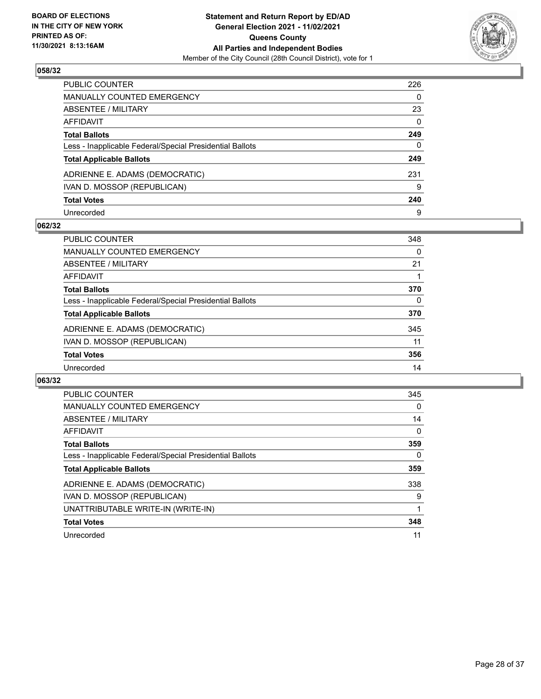

| PUBLIC COUNTER                                           | 226      |
|----------------------------------------------------------|----------|
| <b>MANUALLY COUNTED EMERGENCY</b>                        | 0        |
| <b>ABSENTEE / MILITARY</b>                               | 23       |
| AFFIDAVIT                                                | $\Omega$ |
| <b>Total Ballots</b>                                     | 249      |
| Less - Inapplicable Federal/Special Presidential Ballots | 0        |
| <b>Total Applicable Ballots</b>                          | 249      |
| ADRIENNE E. ADAMS (DEMOCRATIC)                           | 231      |
| IVAN D. MOSSOP (REPUBLICAN)                              | 9        |
| <b>Total Votes</b>                                       | 240      |
| Unrecorded                                               | 9        |

## **062/32**

| PUBLIC COUNTER                                           | 348 |
|----------------------------------------------------------|-----|
| <b>MANUALLY COUNTED EMERGENCY</b>                        | 0   |
| ABSENTEE / MILITARY                                      | 21  |
| AFFIDAVIT                                                |     |
| <b>Total Ballots</b>                                     | 370 |
| Less - Inapplicable Federal/Special Presidential Ballots | 0   |
| <b>Total Applicable Ballots</b>                          | 370 |
| ADRIENNE E. ADAMS (DEMOCRATIC)                           | 345 |
| IVAN D. MOSSOP (REPUBLICAN)                              | 11  |
| <b>Total Votes</b>                                       | 356 |
| Unrecorded                                               | 14  |

| <b>PUBLIC COUNTER</b>                                    | 345      |
|----------------------------------------------------------|----------|
| MANUALLY COUNTED EMERGENCY                               | 0        |
| ABSENTEE / MILITARY                                      | 14       |
| <b>AFFIDAVIT</b>                                         | $\Omega$ |
| <b>Total Ballots</b>                                     | 359      |
| Less - Inapplicable Federal/Special Presidential Ballots | 0        |
| <b>Total Applicable Ballots</b>                          | 359      |
| ADRIENNE E. ADAMS (DEMOCRATIC)                           | 338      |
| IVAN D. MOSSOP (REPUBLICAN)                              | 9        |
| UNATTRIBUTABLE WRITE-IN (WRITE-IN)                       |          |
| <b>Total Votes</b>                                       | 348      |
| Unrecorded                                               | 11       |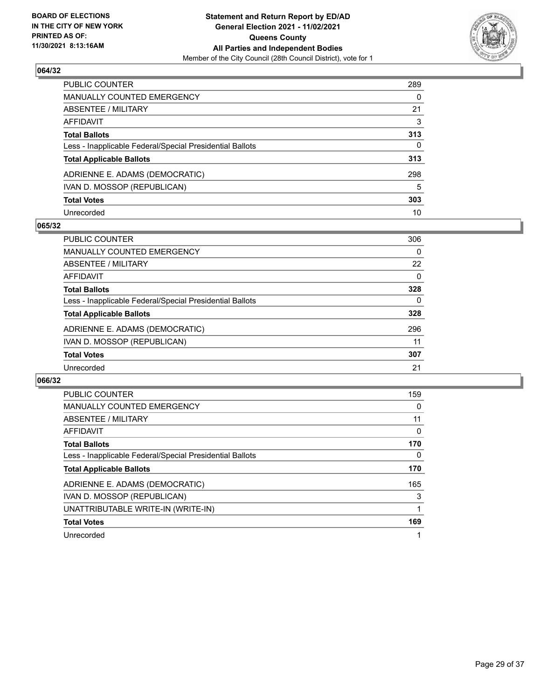

| PUBLIC COUNTER                                           | 289 |
|----------------------------------------------------------|-----|
| <b>MANUALLY COUNTED EMERGENCY</b>                        | 0   |
| <b>ABSENTEE / MILITARY</b>                               | 21  |
| AFFIDAVIT                                                | 3   |
| <b>Total Ballots</b>                                     | 313 |
| Less - Inapplicable Federal/Special Presidential Ballots | 0   |
| <b>Total Applicable Ballots</b>                          | 313 |
| ADRIENNE E. ADAMS (DEMOCRATIC)                           | 298 |
| IVAN D. MOSSOP (REPUBLICAN)                              | 5   |
| <b>Total Votes</b>                                       | 303 |
| Unrecorded                                               | 10  |

## **065/32**

| PUBLIC COUNTER                                           | 306      |
|----------------------------------------------------------|----------|
| MANUALLY COUNTED EMERGENCY                               | 0        |
| ABSENTEE / MILITARY                                      | 22       |
| AFFIDAVIT                                                | $\Omega$ |
| <b>Total Ballots</b>                                     | 328      |
| Less - Inapplicable Federal/Special Presidential Ballots | 0        |
| <b>Total Applicable Ballots</b>                          | 328      |
| ADRIENNE E. ADAMS (DEMOCRATIC)                           | 296      |
| IVAN D. MOSSOP (REPUBLICAN)                              | 11       |
| <b>Total Votes</b>                                       | 307      |
| Unrecorded                                               | 21       |

| <b>PUBLIC COUNTER</b>                                    | 159 |
|----------------------------------------------------------|-----|
| MANUALLY COUNTED EMERGENCY                               | 0   |
| ABSENTEE / MILITARY                                      | 11  |
| AFFIDAVIT                                                | 0   |
| <b>Total Ballots</b>                                     | 170 |
| Less - Inapplicable Federal/Special Presidential Ballots | 0   |
| <b>Total Applicable Ballots</b>                          | 170 |
| ADRIENNE E. ADAMS (DEMOCRATIC)                           | 165 |
| IVAN D. MOSSOP (REPUBLICAN)                              | 3   |
| UNATTRIBUTABLE WRITE-IN (WRITE-IN)                       |     |
| <b>Total Votes</b>                                       | 169 |
| Unrecorded                                               |     |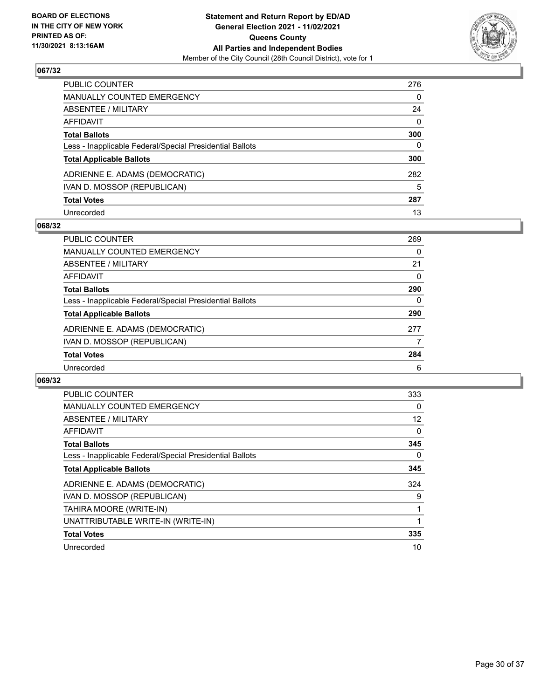

| PUBLIC COUNTER                                           | 276          |
|----------------------------------------------------------|--------------|
| <b>MANUALLY COUNTED EMERGENCY</b>                        | 0            |
| <b>ABSENTEE / MILITARY</b>                               | 24           |
| AFFIDAVIT                                                | $\mathbf{0}$ |
| <b>Total Ballots</b>                                     | 300          |
| Less - Inapplicable Federal/Special Presidential Ballots | 0            |
| <b>Total Applicable Ballots</b>                          | 300          |
| ADRIENNE E. ADAMS (DEMOCRATIC)                           | 282          |
| IVAN D. MOSSOP (REPUBLICAN)                              | 5            |
| <b>Total Votes</b>                                       | 287          |
| Unrecorded                                               | 13           |

## **068/32**

| <b>PUBLIC COUNTER</b>                                    | 269      |
|----------------------------------------------------------|----------|
| MANUALLY COUNTED EMERGENCY                               | $\Omega$ |
| ABSENTEE / MILITARY                                      | 21       |
| AFFIDAVIT                                                | 0        |
| <b>Total Ballots</b>                                     | 290      |
| Less - Inapplicable Federal/Special Presidential Ballots | 0        |
| <b>Total Applicable Ballots</b>                          | 290      |
| ADRIENNE E. ADAMS (DEMOCRATIC)                           | 277      |
| IVAN D. MOSSOP (REPUBLICAN)                              |          |
| <b>Total Votes</b>                                       | 284      |
| Unrecorded                                               | 6        |

| <b>PUBLIC COUNTER</b>                                    | 333      |
|----------------------------------------------------------|----------|
| <b>MANUALLY COUNTED EMERGENCY</b>                        | $\Omega$ |
| <b>ABSENTEE / MILITARY</b>                               | 12       |
| AFFIDAVIT                                                | 0        |
| <b>Total Ballots</b>                                     | 345      |
| Less - Inapplicable Federal/Special Presidential Ballots | 0        |
| <b>Total Applicable Ballots</b>                          | 345      |
| ADRIENNE E. ADAMS (DEMOCRATIC)                           | 324      |
| IVAN D. MOSSOP (REPUBLICAN)                              | 9        |
| TAHIRA MOORE (WRITE-IN)                                  |          |
| UNATTRIBUTABLE WRITE-IN (WRITE-IN)                       | 1        |
| <b>Total Votes</b>                                       | 335      |
| Unrecorded                                               | 10       |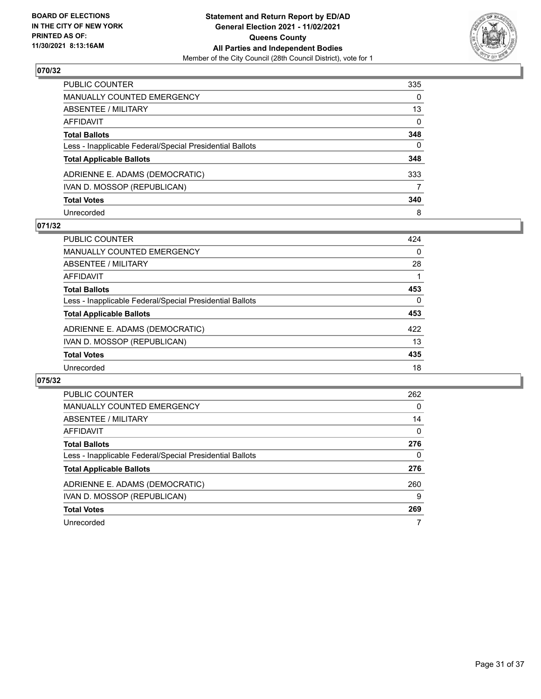

| PUBLIC COUNTER                                           | 335      |
|----------------------------------------------------------|----------|
| <b>MANUALLY COUNTED EMERGENCY</b>                        | $\Omega$ |
| ABSENTEE / MILITARY                                      | 13       |
| AFFIDAVIT                                                | 0        |
| <b>Total Ballots</b>                                     | 348      |
| Less - Inapplicable Federal/Special Presidential Ballots | $\Omega$ |
| <b>Total Applicable Ballots</b>                          | 348      |
| ADRIENNE E. ADAMS (DEMOCRATIC)                           | 333      |
| IVAN D. MOSSOP (REPUBLICAN)                              |          |
| <b>Total Votes</b>                                       | 340      |
| Unrecorded                                               | 8        |

## **071/32**

| <b>PUBLIC COUNTER</b>                                    | 424      |
|----------------------------------------------------------|----------|
| <b>MANUALLY COUNTED EMERGENCY</b>                        | $\Omega$ |
| ABSENTEE / MILITARY                                      | 28       |
| AFFIDAVIT                                                |          |
| <b>Total Ballots</b>                                     | 453      |
| Less - Inapplicable Federal/Special Presidential Ballots | $\Omega$ |
| <b>Total Applicable Ballots</b>                          | 453      |
| ADRIENNE E. ADAMS (DEMOCRATIC)                           | 422      |
| IVAN D. MOSSOP (REPUBLICAN)                              | 13       |
| <b>Total Votes</b>                                       | 435      |
| Unrecorded                                               | 18       |

| <b>PUBLIC COUNTER</b>                                    | 262      |
|----------------------------------------------------------|----------|
| <b>MANUALLY COUNTED EMERGENCY</b>                        | 0        |
| ABSENTEE / MILITARY                                      | 14       |
| AFFIDAVIT                                                | $\Omega$ |
| <b>Total Ballots</b>                                     | 276      |
| Less - Inapplicable Federal/Special Presidential Ballots | 0        |
| <b>Total Applicable Ballots</b>                          | 276      |
| ADRIENNE E. ADAMS (DEMOCRATIC)                           | 260      |
| IVAN D. MOSSOP (REPUBLICAN)                              | 9        |
| <b>Total Votes</b>                                       | 269      |
| Unrecorded                                               |          |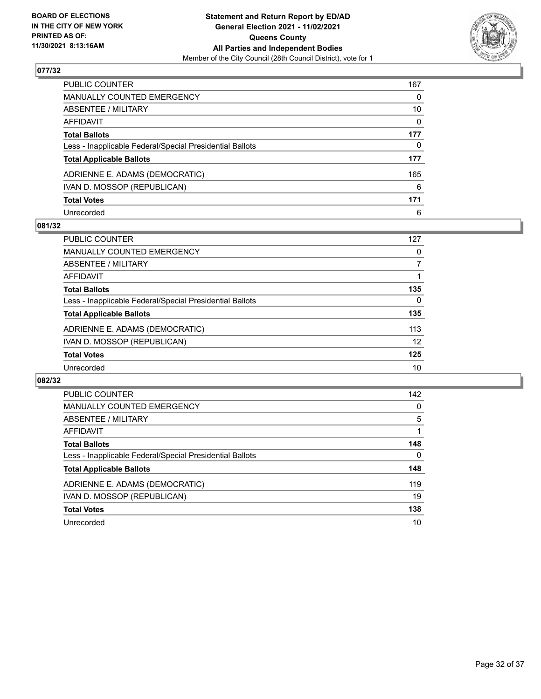

| PUBLIC COUNTER                                           | 167          |
|----------------------------------------------------------|--------------|
| MANUALLY COUNTED EMERGENCY                               | 0            |
| <b>ABSENTEE / MILITARY</b>                               | 10           |
| <b>AFFIDAVIT</b>                                         | 0            |
| <b>Total Ballots</b>                                     | 177          |
| Less - Inapplicable Federal/Special Presidential Ballots | $\mathbf{0}$ |
| <b>Total Applicable Ballots</b>                          | 177          |
| ADRIENNE E. ADAMS (DEMOCRATIC)                           | 165          |
| IVAN D. MOSSOP (REPUBLICAN)                              | 6            |
| <b>Total Votes</b>                                       | 171          |
| Unrecorded                                               | 6            |

## **081/32**

| <b>PUBLIC COUNTER</b>                                    | 127 |
|----------------------------------------------------------|-----|
| <b>MANUALLY COUNTED EMERGENCY</b>                        | 0   |
| ABSENTEE / MILITARY                                      |     |
| AFFIDAVIT                                                |     |
| <b>Total Ballots</b>                                     | 135 |
| Less - Inapplicable Federal/Special Presidential Ballots | 0   |
| <b>Total Applicable Ballots</b>                          | 135 |
| ADRIENNE E. ADAMS (DEMOCRATIC)                           | 113 |
| IVAN D. MOSSOP (REPUBLICAN)                              | 12  |
| <b>Total Votes</b>                                       | 125 |
| Unrecorded                                               | 10  |

| <b>PUBLIC COUNTER</b>                                    | 142 |
|----------------------------------------------------------|-----|
| <b>MANUALLY COUNTED EMERGENCY</b>                        | 0   |
| ABSENTEE / MILITARY                                      | 5   |
| <b>AFFIDAVIT</b>                                         |     |
| <b>Total Ballots</b>                                     | 148 |
| Less - Inapplicable Federal/Special Presidential Ballots | 0   |
| <b>Total Applicable Ballots</b>                          | 148 |
| ADRIENNE E. ADAMS (DEMOCRATIC)                           | 119 |
| IVAN D. MOSSOP (REPUBLICAN)                              | 19  |
| <b>Total Votes</b>                                       | 138 |
| Unrecorded                                               | 10  |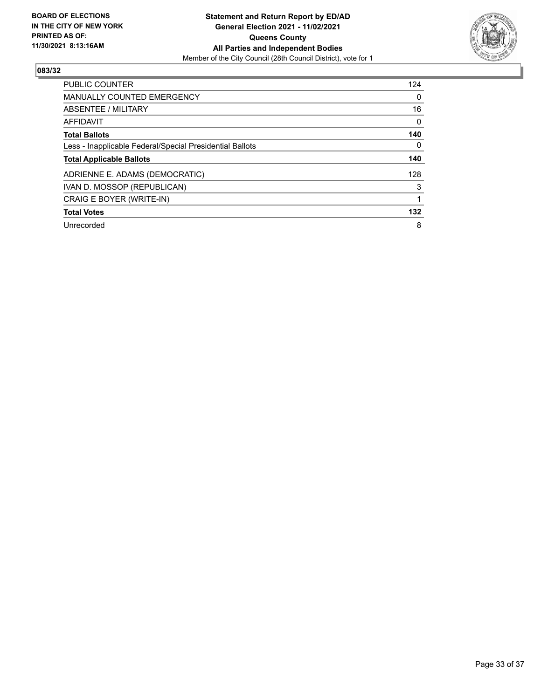

| <b>PUBLIC COUNTER</b>                                    | 124 |
|----------------------------------------------------------|-----|
| <b>MANUALLY COUNTED EMERGENCY</b>                        | 0   |
| ABSENTEE / MILITARY                                      | 16  |
| AFFIDAVIT                                                | 0   |
| <b>Total Ballots</b>                                     | 140 |
| Less - Inapplicable Federal/Special Presidential Ballots | 0   |
| <b>Total Applicable Ballots</b>                          | 140 |
| ADRIENNE E. ADAMS (DEMOCRATIC)                           | 128 |
| IVAN D. MOSSOP (REPUBLICAN)                              | 3   |
| CRAIG E BOYER (WRITE-IN)                                 |     |
| <b>Total Votes</b>                                       | 132 |
| Unrecorded                                               | 8   |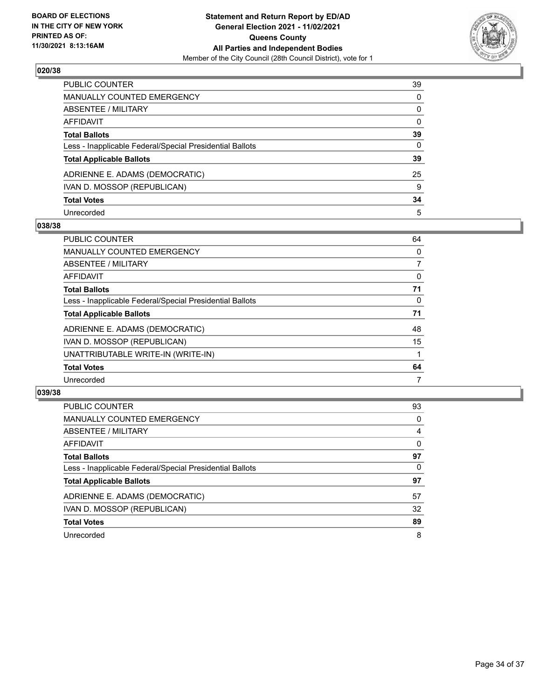

| PUBLIC COUNTER                                           | 39           |
|----------------------------------------------------------|--------------|
| <b>MANUALLY COUNTED EMERGENCY</b>                        | 0            |
| ABSENTEE / MILITARY                                      | 0            |
| <b>AFFIDAVIT</b>                                         | $\mathbf{0}$ |
| <b>Total Ballots</b>                                     | 39           |
| Less - Inapplicable Federal/Special Presidential Ballots | 0            |
| <b>Total Applicable Ballots</b>                          | 39           |
| ADRIENNE E. ADAMS (DEMOCRATIC)                           | 25           |
| IVAN D. MOSSOP (REPUBLICAN)                              | 9            |
| <b>Total Votes</b>                                       | 34           |
| Unrecorded                                               | 5            |

#### **038/38**

| <b>PUBLIC COUNTER</b>                                    | 64 |
|----------------------------------------------------------|----|
| <b>MANUALLY COUNTED EMERGENCY</b>                        | 0  |
| ABSENTEE / MILITARY                                      | 7  |
| AFFIDAVIT                                                | 0  |
| <b>Total Ballots</b>                                     | 71 |
| Less - Inapplicable Federal/Special Presidential Ballots | 0  |
| <b>Total Applicable Ballots</b>                          | 71 |
| ADRIENNE E. ADAMS (DEMOCRATIC)                           | 48 |
| IVAN D. MOSSOP (REPUBLICAN)                              | 15 |
| UNATTRIBUTABLE WRITE-IN (WRITE-IN)                       |    |
| <b>Total Votes</b>                                       | 64 |
| Unrecorded                                               | 7  |

| <b>PUBLIC COUNTER</b>                                    | 93       |
|----------------------------------------------------------|----------|
| <b>MANUALLY COUNTED EMERGENCY</b>                        | 0        |
| ABSENTEE / MILITARY                                      | 4        |
| AFFIDAVIT                                                | $\Omega$ |
| <b>Total Ballots</b>                                     | 97       |
| Less - Inapplicable Federal/Special Presidential Ballots | $\Omega$ |
| <b>Total Applicable Ballots</b>                          | 97       |
| ADRIENNE E. ADAMS (DEMOCRATIC)                           | 57       |
| IVAN D. MOSSOP (REPUBLICAN)                              | 32       |
| <b>Total Votes</b>                                       | 89       |
| Unrecorded                                               | 8        |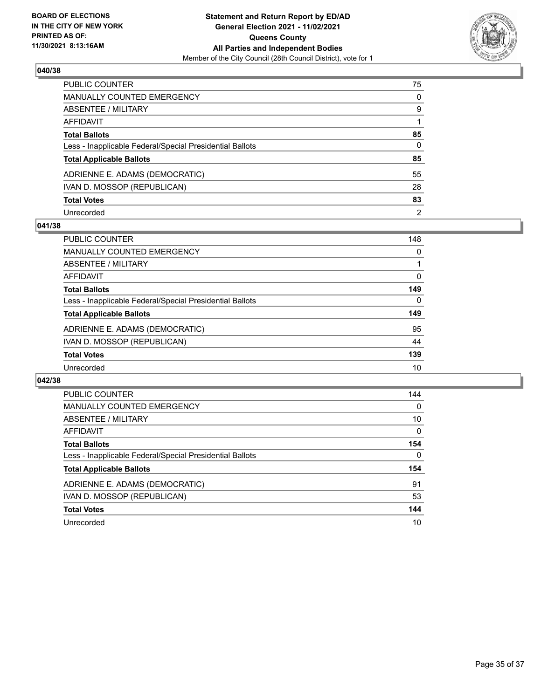

| PUBLIC COUNTER                                           | 75             |
|----------------------------------------------------------|----------------|
| <b>MANUALLY COUNTED EMERGENCY</b>                        | $\Omega$       |
| <b>ABSENTEE / MILITARY</b>                               | 9              |
| <b>AFFIDAVIT</b>                                         |                |
| <b>Total Ballots</b>                                     | 85             |
| Less - Inapplicable Federal/Special Presidential Ballots | 0              |
| <b>Total Applicable Ballots</b>                          | 85             |
| ADRIENNE E. ADAMS (DEMOCRATIC)                           | 55             |
| IVAN D. MOSSOP (REPUBLICAN)                              | 28             |
| <b>Total Votes</b>                                       | 83             |
| Unrecorded                                               | $\overline{2}$ |

#### **041/38**

| <b>PUBLIC COUNTER</b>                                    | 148      |
|----------------------------------------------------------|----------|
| <b>MANUALLY COUNTED EMERGENCY</b>                        | 0        |
| ABSENTEE / MILITARY                                      |          |
| AFFIDAVIT                                                | 0        |
| <b>Total Ballots</b>                                     | 149      |
| Less - Inapplicable Federal/Special Presidential Ballots | $\Omega$ |
| <b>Total Applicable Ballots</b>                          | 149      |
| ADRIENNE E. ADAMS (DEMOCRATIC)                           | 95       |
| IVAN D. MOSSOP (REPUBLICAN)                              | 44       |
| <b>Total Votes</b>                                       | 139      |
| Unrecorded                                               | 10       |

| PUBLIC COUNTER                                           | 144      |
|----------------------------------------------------------|----------|
| <b>MANUALLY COUNTED EMERGENCY</b>                        | 0        |
| ABSENTEE / MILITARY                                      | 10       |
| <b>AFFIDAVIT</b>                                         | $\Omega$ |
| <b>Total Ballots</b>                                     | 154      |
| Less - Inapplicable Federal/Special Presidential Ballots | 0        |
| <b>Total Applicable Ballots</b>                          | 154      |
| ADRIENNE E. ADAMS (DEMOCRATIC)                           | 91       |
|                                                          |          |
| IVAN D. MOSSOP (REPUBLICAN)                              | 53       |
| <b>Total Votes</b>                                       | 144      |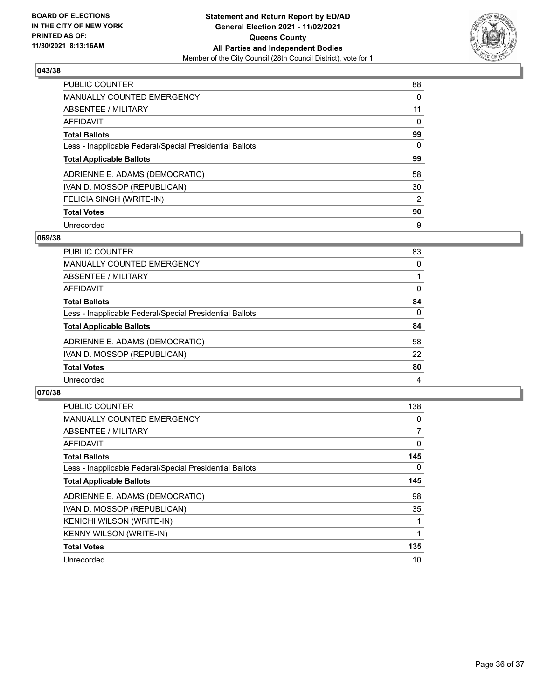

| <b>PUBLIC COUNTER</b>                                    | 88       |
|----------------------------------------------------------|----------|
| MANUALLY COUNTED EMERGENCY                               | 0        |
| ABSENTEE / MILITARY                                      | 11       |
| AFFIDAVIT                                                | $\Omega$ |
| <b>Total Ballots</b>                                     | 99       |
| Less - Inapplicable Federal/Special Presidential Ballots | $\Omega$ |
| <b>Total Applicable Ballots</b>                          | 99       |
| ADRIENNE E. ADAMS (DEMOCRATIC)                           | 58       |
| IVAN D. MOSSOP (REPUBLICAN)                              | 30       |
| FELICIA SINGH (WRITE-IN)                                 | 2        |
| <b>Total Votes</b>                                       | 90       |
| Unrecorded                                               | 9        |

#### **069/38**

| PUBLIC COUNTER                                           | 83       |
|----------------------------------------------------------|----------|
| <b>MANUALLY COUNTED EMERGENCY</b>                        | $\Omega$ |
| ABSENTEE / MILITARY                                      |          |
| <b>AFFIDAVIT</b>                                         | $\Omega$ |
| <b>Total Ballots</b>                                     | 84       |
| Less - Inapplicable Federal/Special Presidential Ballots | 0        |
| <b>Total Applicable Ballots</b>                          | 84       |
| ADRIENNE E. ADAMS (DEMOCRATIC)                           | 58       |
| IVAN D. MOSSOP (REPUBLICAN)                              | 22       |
| <b>Total Votes</b>                                       | 80       |
| Unrecorded                                               | 4        |

| <b>PUBLIC COUNTER</b>                                    | 138 |
|----------------------------------------------------------|-----|
| <b>MANUALLY COUNTED EMERGENCY</b>                        | 0   |
| ABSENTEE / MILITARY                                      | 7   |
| <b>AFFIDAVIT</b>                                         | 0   |
| <b>Total Ballots</b>                                     | 145 |
| Less - Inapplicable Federal/Special Presidential Ballots | 0   |
| <b>Total Applicable Ballots</b>                          | 145 |
| ADRIENNE E. ADAMS (DEMOCRATIC)                           | 98  |
| IVAN D. MOSSOP (REPUBLICAN)                              | 35  |
| <b>KENICHI WILSON (WRITE-IN)</b>                         |     |
| <b>KENNY WILSON (WRITE-IN)</b>                           |     |
| <b>Total Votes</b>                                       | 135 |
| Unrecorded                                               | 10  |